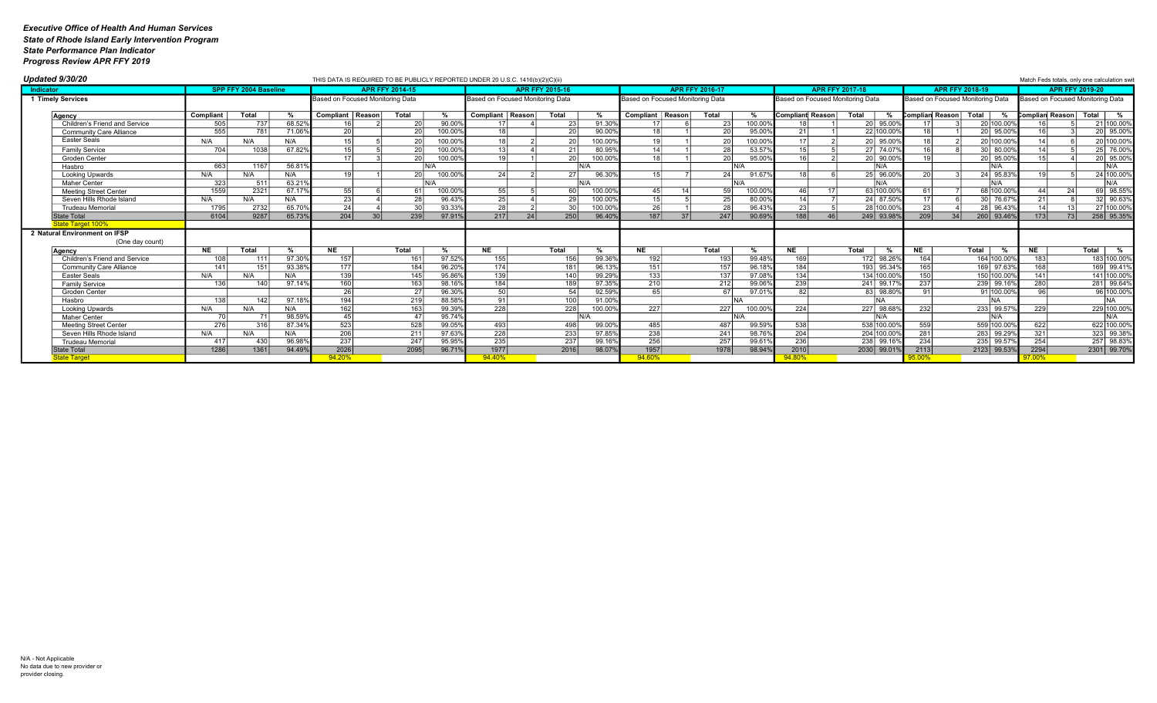| Updated 9/30/20                               |             |                              |                  |                                  |                        | THIS DATA IS REQUIRED TO BE PUBLICLY REPORTED UNDER 20 U.S.C. 1416(b)(2)(C)(ii) |                                  |                 |                        |                  |                                  |                        |                 |                |                                  |                          |                                  |                        |                    |                 | Match Feds totals, only one calculation swit |
|-----------------------------------------------|-------------|------------------------------|------------------|----------------------------------|------------------------|---------------------------------------------------------------------------------|----------------------------------|-----------------|------------------------|------------------|----------------------------------|------------------------|-----------------|----------------|----------------------------------|--------------------------|----------------------------------|------------------------|--------------------|-----------------|----------------------------------------------|
| Indicator                                     |             | <b>SPP FFY 2004 Baseline</b> |                  |                                  | <b>APR FFY 2014-15</b> |                                                                                 |                                  |                 | <b>APR FFY 2015-16</b> |                  |                                  | <b>APR FFY 2016-17</b> |                 |                |                                  | <b>APR FFY 2017-18</b>   |                                  | <b>APR FFY 2018-19</b> |                    |                 | <b>APR FFY 2019-20</b>                       |
| 1 Timely Services                             |             |                              |                  | Based on Focused Monitoring Data |                        |                                                                                 | Based on Focused Monitoring Data |                 |                        |                  | Based on Focused Monitoring Data |                        |                 |                | Based on Focused Monitoring Data |                          | Based on Focused Monitoring Data |                        |                    |                 | Based on Focused Monitoring Data             |
| Agency                                        | Compliant   | Total                        |                  | Compliant   Reason               |                        | Total                                                                           | Compliant   Reason               |                 | Total                  | %                | Compliant   Reason               |                        | Total           |                | <b>Compliant Reason</b>          | Total                    | Complian Reason Total            |                        |                    | Complian Reason | Total  <br>%                                 |
| Children's Friend and Service                 |             | 737                          | 68.529           |                                  |                        | 90.00                                                                           |                                  |                 |                        | 91.30%           |                                  |                        |                 | 100.009        |                                  | 20 95.009                |                                  |                        | 20 100.009         |                 | 21 100.009                                   |
| <b>Community Care Alliance</b>                | 555         | 781                          | 71.069           | 20                               |                        | 20<br>100.00                                                                    | 10                               |                 | 20                     | 90.00%           | 18                               |                        |                 | 95.009         | 21                               | 22 100.00                |                                  |                        | 20 95.009          | 16 <sup>1</sup> | 20 95.009                                    |
| Easter Seals                                  | N/A         | N/A                          | N/A              |                                  |                        | 20<br>100.00                                                                    |                                  |                 |                        | 100.00           | 19                               |                        |                 | 100.009        | 17                               | 20 95.00                 |                                  |                        | 20 100.009         |                 | 20 100.00                                    |
| <b>Family Service</b>                         | 704         | 1038                         | 67.82%           |                                  |                        | 20<br>100.00%                                                                   | 13                               |                 | 21                     | 80.95%           | 14                               |                        | 25              | 53.579         | 15 <sup>1</sup>                  | 27 74.079                | 16                               |                        | 30 80.009          | 1 <sub>A</sub>  | 25 76.009                                    |
| Groden Center                                 |             |                              |                  |                                  |                        | 20<br>100.00                                                                    | 10 <sup>1</sup>                  |                 | -20                    | 100.00%          | 10                               |                        |                 | 95.009         | 161                              | 20 90.009                |                                  |                        | 20 95.009          |                 | 20 95.009                                    |
| Hasbro                                        | 663         | 1167                         | 56.81%           |                                  |                        |                                                                                 |                                  |                 |                        | N/A              |                                  |                        |                 | N/A            |                                  | N/A                      |                                  |                        | N/A                |                 | IN/A                                         |
| Looking Upwards                               | N/A         | N/A                          | N/A              |                                  |                        | 100.00<br>20                                                                    | 24                               |                 |                        | 96.30            | 15                               |                        |                 | 91.67          | 18 <sup>1</sup>                  | 25 96.009                |                                  |                        | 24 95.839          |                 | 24 100.00                                    |
| Maher Center                                  | 323         | 511                          | 63.219           |                                  |                        |                                                                                 |                                  |                 |                        | $N/\Delta$       |                                  |                        |                 |                |                                  | N/A                      |                                  |                        | N/A                |                 | IN/A                                         |
| <b>Meeting Street Center</b>                  | 1559        | 2321                         | 67.179           | 55                               |                        | 100.00                                                                          | 55                               |                 |                        | 100.00%          | 45 <sub>1</sub>                  |                        |                 | 100.00%        | 46                               | 63 100.00                | 61                               |                        | 68 100.009         | 44 <sub>1</sub> | 69 98.55                                     |
| Seven Hills Rhode Island                      | N/A         | N/A                          | N/A              | 23                               |                        | 96.43%<br>28                                                                    | 25                               |                 | 29                     | 100.00%          | 151                              |                        | $\gamma$        | 80.009         | 14                               | 24 87.509                | 17 <sup>1</sup>                  |                        | 30 76.679          | 21              | 32 90.639                                    |
| <b>Trudeau Memorial</b>                       | 1795        | 2732                         | 65.709           | 24                               |                        | 30<br>93.33%                                                                    | $\overline{28}$                  |                 | 30 <sup>1</sup>        | 100.00%          | 26                               |                        | 2i              | 96.43          | $\overline{23}$                  | 28 100.00                | 23 <sub>1</sub>                  |                        | 28 96.439          | 14 <sup>1</sup> | 27 100.009                                   |
| <b>State Total</b>                            | 6104        | 9287                         | 65.73%           | 204                              |                        | 239<br>97.91%                                                                   | 217                              | 24 <sup>1</sup> | 250                    | 96.40%           | 187                              | 37 <sup>1</sup>        | 247             | 90.69%         | 188                              | 249 93.989               | 209                              |                        | 260 93.46%         | 173             | 258 95.35                                    |
| State Target 100%                             |             |                              |                  |                                  |                        |                                                                                 |                                  |                 |                        |                  |                                  |                        |                 |                |                                  |                          |                                  |                        |                    |                 |                                              |
| 2 Natural Environment on IFSP                 |             |                              |                  |                                  |                        |                                                                                 |                                  |                 |                        |                  |                                  |                        |                 |                |                                  |                          |                                  |                        |                    |                 |                                              |
| (One day count)                               |             |                              |                  |                                  |                        |                                                                                 |                                  |                 |                        |                  |                                  |                        |                 |                |                                  |                          |                                  |                        |                    |                 |                                              |
| Agency                                        | <b>NE</b>   | Total                        |                  | <b>NE</b>                        |                        | Total                                                                           | <b>NE</b>                        |                 | Total                  | %                | <b>NE</b>                        |                        | Total           |                | <b>NE</b>                        | Total                    | <b>NE</b>                        | <b>Total</b>           |                    | <b>NE</b>       | Total  <br>%                                 |
| Children's Friend and Service                 | 108         |                              | 97.30%           | 157                              |                        | 97.529<br>161                                                                   | 155                              |                 | 156                    | 99.36            | 192                              |                        | 19 <sup>′</sup> | 99.48          | 169                              | 172 98.26                | 164                              |                        | 164 100.009        | 183             | 183 100.009                                  |
| <b>Community Care Alliance</b>                | 141         | 151                          | 93.38%           | 177                              |                        | 184<br>96.20%                                                                   | 174                              |                 | 181                    | 96.13            | 151                              |                        | 157             | 96.18          | 184                              | 193 95.34                | 165                              |                        | 169 97.639         | 168             | 169 99.419                                   |
| <b>Easter Seals</b>                           | N/A         | N/A                          | N/A              | 139                              |                        | $\overline{145}$<br>95.86                                                       | 139                              |                 | 140                    | 99.29            | 133                              |                        | 137             | 97.08          | 134 <sup>1</sup>                 | 134 100.00               | 150                              |                        | 150 100.00%        | 141             | 141 100.00                                   |
| <b>Family Service</b>                         | 136         | 140                          | 97.14%           | 160                              |                        | 98.16<br>163                                                                    | 184                              |                 | 189                    | 97.35%           | $\overline{210}$                 |                        | 212             | 99.069         | 239                              | 241 99.17                | 237                              | 239 99.16              |                    | 280             | 281 99.649                                   |
| Groden Center                                 |             |                              |                  | 26                               |                        | $96.30^{\circ}$<br>27 <sup>1</sup>                                              | 50                               |                 | 54                     | 92.59%           | 65                               |                        |                 | 97.01          | 82                               | 83 98.80                 | 91                               |                        | 91 100.009         | 96              | 96 100.009                                   |
| Hasbro                                        | 138         | 1421                         | 97.18%           | 194                              |                        | 219<br>88.58%                                                                   | -91 l<br>228                     |                 | 100<br>228             | 91.00%           |                                  |                        |                 | 100.00         |                                  | NΔ<br>227 98.68          |                                  | 233 99.57              | <b>NA</b>          |                 | INA.                                         |
| <b>Looking Upwards</b>                        | N/A         | N/A                          | N/A              | 162                              |                        | 163<br>99.39%                                                                   |                                  |                 |                        | 100.00%          | 227                              |                        | 227             |                | 224                              |                          | 232                              |                        |                    | 229             | 229 100.009<br>N/A                           |
| Maher Center                                  | 276         | 316                          | 98.599<br>87.34% | 523                              |                        | 95.74%<br>528<br>99.05%                                                         | 493                              |                 | 498                    | 99.00%           |                                  |                        |                 | 99.59%         |                                  | N/A<br>538 100.00        |                                  |                        | N/A<br>559 100.009 | 622             | 622 100.00                                   |
| <b>Meeting Street Center</b>                  |             | N/A                          |                  | $\overline{206}$                 |                        | 211                                                                             | $\overline{228}$                 |                 | $\overline{233}$       |                  | 485<br>238                       |                        | 487             |                | 538                              |                          | 559<br>281                       |                        |                    |                 | 323 99.389                                   |
| Seven Hills Rhode Island                      | N/A<br>-417 | 430                          | N/A<br>96.989    | 237                              |                        | 97.63%<br>247<br>95.95                                                          | 235                              |                 | 237                    | 97.85%<br>99.16% | 256                              |                        | 241<br>257      | 98.76<br>99.61 | 204<br>236                       | 204 100.009<br>238 99.16 | 234                              | 235 99.57              | 283 99.299         | 321<br>254      | 257 98.83                                    |
| <b>Trudeau Memorial</b><br><b>State Total</b> | 1286        | 1361                         | 94.499           | 2026                             |                        | 2095<br>96.71                                                                   | 1977                             |                 | 2016                   | 98.07%           | 1957                             |                        | 1978            | 98.94          | 2010                             | 2030 99.019              | 2113                             |                        | 2123 99.53%        | 2294            | 2301 99.70                                   |
| State Target                                  |             |                              |                  | 94.20%                           |                        |                                                                                 | 94.40%                           |                 |                        |                  | 94.60%                           |                        |                 |                |                                  |                          |                                  |                        |                    |                 |                                              |
|                                               |             |                              |                  |                                  |                        |                                                                                 |                                  |                 |                        |                  |                                  |                        |                 |                |                                  |                          |                                  |                        |                    |                 |                                              |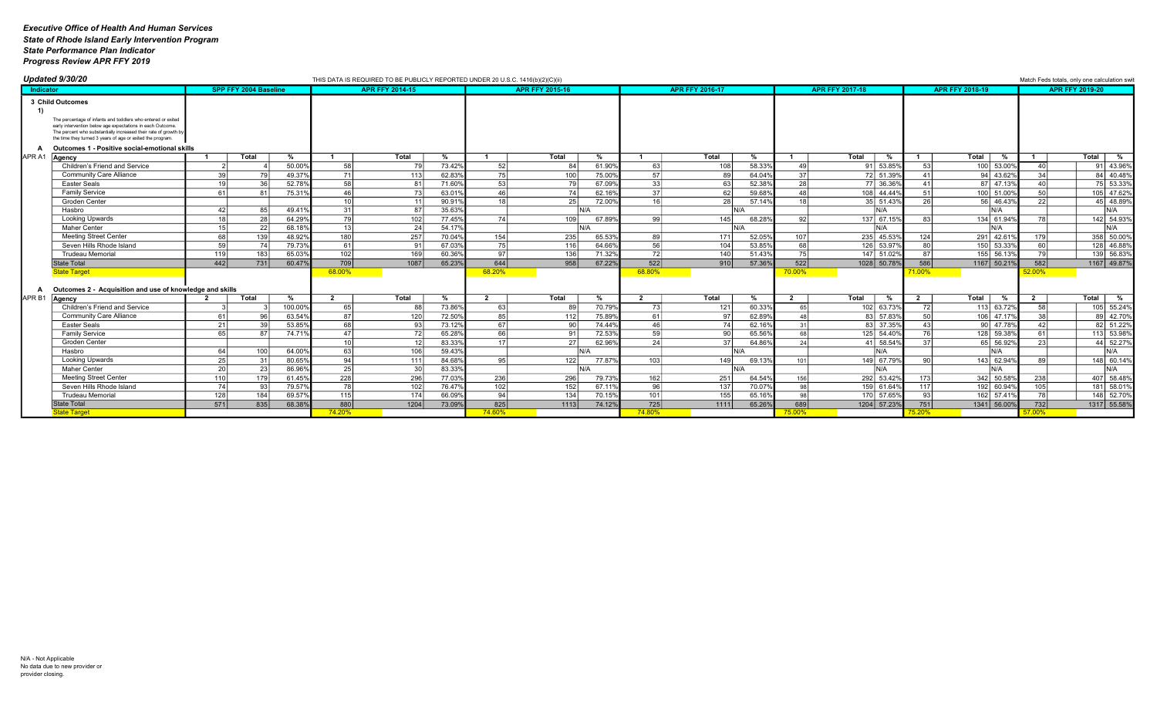|                   | Updated 9/30/20                                                                                                                                                                                                                                                                 |                 |                       |               |                  | THIS DATA IS REQUIRED TO BE PUBLICLY REPORTED UNDER 20 U.S.C. 1416(b)(2)(C)(ii) |        |                 |                        |                    |                  |                        |            |                       |                        |                  |                 |                 | Match Feds totals, only one calculation swit |
|-------------------|---------------------------------------------------------------------------------------------------------------------------------------------------------------------------------------------------------------------------------------------------------------------------------|-----------------|-----------------------|---------------|------------------|---------------------------------------------------------------------------------|--------|-----------------|------------------------|--------------------|------------------|------------------------|------------|-----------------------|------------------------|------------------|-----------------|-----------------|----------------------------------------------|
| Indicator         |                                                                                                                                                                                                                                                                                 |                 | SPP FFY 2004 Baseline |               |                  | <b>APR FFY 2014-15</b>                                                          |        |                 | <b>APR FFY 2015-16</b> |                    |                  | <b>APR FFY 2016-17</b> |            |                       | <b>APR FFY 2017-18</b> |                  | APR FFY 2018-19 |                 | <b>APR FFY 2019-20</b>                       |
|                   | 3 Child Outcomes<br>The percentage of infants and toddlers who entered or exited<br>early intervention below age expectations in each Outcome.<br>The percent who substantially increased their rate of growth by<br>the time they turned 3 years of age or exited the program. |                 |                       |               |                  |                                                                                 |        |                 |                        |                    |                  |                        |            |                       |                        |                  |                 |                 |                                              |
|                   |                                                                                                                                                                                                                                                                                 |                 |                       |               |                  |                                                                                 |        |                 |                        |                    |                  |                        |            |                       |                        |                  |                 |                 |                                              |
|                   | Outcomes 1 - Positive social-emotional skills                                                                                                                                                                                                                                   |                 |                       |               |                  |                                                                                 |        |                 |                        |                    |                  |                        |            |                       |                        |                  |                 |                 |                                              |
| APR A1            | Agency                                                                                                                                                                                                                                                                          |                 | Total                 | $\frac{9}{6}$ |                  | Total                                                                           | %      |                 | Total                  | %                  |                  | Total                  | %          |                       | Total<br>%             |                  | Total<br>%      |                 | Total  <br>%                                 |
|                   | Children's Friend and Service                                                                                                                                                                                                                                                   |                 |                       | 50.00%        | 58               |                                                                                 | 73.42% | 52              | 84                     | 61.909             | 63               | 108                    | 58.33%     |                       | 91 53.85%              | 53 <sup>1</sup>  | 100 53,00%      | 40 <sup>1</sup> | 91 43.969                                    |
|                   | <b>Community Care Alliance</b>                                                                                                                                                                                                                                                  | 39              |                       | 49.37%        | -71 I            | 113                                                                             | 62.83% | 75              | 100                    | 75.00 <sup>°</sup> | -571             |                        | 64.04%     | 37                    | 72 51.399              |                  | 94 43.62%       | 34              | 84 40.489                                    |
|                   | <b>Easter Seals</b>                                                                                                                                                                                                                                                             | 10              | 36                    | 52.78%        | 58               | 81                                                                              | 71.60% | 53              | 79                     | 67.099             | 33               | 63                     | 52.38%     | 28                    | 77 36.369              | 41               | 87 47.13%       | $\Delta \Omega$ | 75 53.339                                    |
|                   | <b>Family Service</b>                                                                                                                                                                                                                                                           | 61              | $\mathsf{R}^{\prime}$ | 75.319        | 46               |                                                                                 | 63.01% | 46              | 7 <sub>1</sub>         | 62.169             | 37               | -62                    | 59.68%     | $\Delta$ <sub>R</sub> | 108 44.449             | 51               | 100 51.00%      | 50              | 105 47.629                                   |
|                   | Groden Center                                                                                                                                                                                                                                                                   |                 |                       |               | 10 <sup>1</sup>  |                                                                                 | 90.91% | 18 <sup>1</sup> | 25                     | 72.00              | 16 <sup>1</sup>  | 28                     | 57.14%     |                       | 35 51.43%              | <b>26</b>        | 56 46.43%       | 22              | 45 48.899                                    |
|                   | Hasbro                                                                                                                                                                                                                                                                          | 42              | 85                    | 49.41%        | -31 l            | 87                                                                              | 35.63% |                 |                        | IN/A               |                  |                        | N/A        |                       | N/A                    |                  | N/A             |                 | IN/A                                         |
|                   | Looking Upwards                                                                                                                                                                                                                                                                 |                 | 28                    | 64.29%        | 79 I             | 102                                                                             | 77.45% | 74              | 109 <sup>1</sup>       | 67.89              | -991             | 145                    | 68.28%     |                       | 137 67.15%             | 831              | 134 61.94%      |                 | 142 54.93%                                   |
|                   | Maher Center                                                                                                                                                                                                                                                                    | 15              | 22                    | 68.18%        | 13 <sup>1</sup>  | 24                                                                              | 54.17% |                 |                        | N/A                |                  |                        | N/A        |                       | IN/A                   |                  | N/A             |                 | IN/A                                         |
|                   | <b>Meeting Street Center</b>                                                                                                                                                                                                                                                    | 68 l            | 139                   | 48.92%        | 180 <sup>1</sup> | 257                                                                             | 70.04% | 154             | 235                    | 65.539             | 89               | 171                    | 52.05%     | 107                   | 235 45.53%             | 124              | 291 42.61%      | 179             | 358 50.009                                   |
|                   | Seven Hills Rhode Island                                                                                                                                                                                                                                                        | 50              | 74                    | 79.73%        | 61               | 91                                                                              | 67.03% | 75              | 116                    | 64.66 <sup>°</sup> | 56               | 104                    | 53.85%     | 68                    | 126 53.97%             | 80               | 150 53.33%      | 60              | 128 46.889                                   |
|                   | <b>Trudeau Memorial</b>                                                                                                                                                                                                                                                         | 119 l           | 183                   | 65.03%        | 102 <sub>1</sub> | 169                                                                             | 60.36% | 97              | 136 l                  | 71.329             | 72 I             | 140                    | 51.43%     | 75                    | 147 51.02%             | 87 I             | 155 56.13%      | 79 I            | 139 56.839                                   |
|                   | <b>State Total</b>                                                                                                                                                                                                                                                              | 442             | 731                   | 60.47%        | 709              | 1087                                                                            | 65.23% | 644             | 958                    | 67.22%             | 522              | 910                    | 57.36%     | 522                   | 1028 50.78%            | 586              | 1167 50.21%     | 582             | 1167 49.879                                  |
|                   | <b>State Target</b>                                                                                                                                                                                                                                                             |                 |                       |               | 68.00%           |                                                                                 |        | 68.20%          |                        |                    | 68.80%           |                        |            | 70.00%                |                        | 71.00%           |                 | 52.00%          |                                              |
|                   |                                                                                                                                                                                                                                                                                 |                 |                       |               |                  |                                                                                 |        |                 |                        |                    |                  |                        |            |                       |                        |                  |                 |                 |                                              |
|                   | Outcomes 2 - Acquisition and use of knowledge and skills                                                                                                                                                                                                                        |                 |                       |               |                  |                                                                                 |        |                 |                        |                    |                  |                        |            |                       |                        |                  |                 |                 |                                              |
| APR <sub>B1</sub> | Agency                                                                                                                                                                                                                                                                          |                 | Total                 | %             |                  | Total                                                                           | %      |                 | Total                  | %                  |                  | Total                  | %          | $\overline{2}$        | Total<br>%             | $\overline{2}$   | Total<br>%      | $\overline{2}$  | Total  <br>%                                 |
|                   | Children's Friend and Service                                                                                                                                                                                                                                                   |                 |                       | 100.00%       | 65               | 88                                                                              | 73.86% | 63              | 89                     | 70.799             | 73               | 121                    | 60.33%     | 65 I                  | 102 63.73%             | 72               | 113 63.72%      | -58             | 105 55.249                                   |
|                   | <b>Community Care Alliance</b>                                                                                                                                                                                                                                                  | 61              | QF                    | 63.54%        | 87               | 120                                                                             | 72.50% | 85              | 112                    | 75.89              | 61 I             | 97                     | 62.89%     | 48                    | 83 57.83%              | 50 l             | 106 47.17%      | 38              | 89 42.709                                    |
|                   | Easter Seals                                                                                                                                                                                                                                                                    | 2 <sup>1</sup>  |                       | 53.85%        | 68 I             |                                                                                 | 73.12% | 67              | ۹N                     | 74.44 <sup>°</sup> | 46               | 74                     | 62.16%     |                       | 83 37.35%              | 43               | 90 47.78%       | 42              | 82 51.229                                    |
|                   | Family Service                                                                                                                                                                                                                                                                  | 65 l            | 87                    | 74.71%        | 47               | 72                                                                              | 65.28% | 66              | 91                     | 72.53              | 59               | 90                     | 65.56%     | 68                    | 125 54.409             | 76 I             | 128 59.389      | 61              | 113 53.989                                   |
|                   | Groden Center                                                                                                                                                                                                                                                                   |                 |                       |               | 10 <sup>1</sup>  |                                                                                 | 83.33% | 17 <sup>1</sup> | 27                     | 62.969             | 24               | 37                     | 64.869     | 24                    | 41 58.549              | 371              | 65 56.92%       | 23              | 44 52.279                                    |
|                   | Hasbro                                                                                                                                                                                                                                                                          | 64              | 100                   | 64.00%        | 63 I             | 106                                                                             | 59.43% |                 |                        | IN/A               |                  |                        | NI/A       |                       | N/A                    |                  | N/A             |                 | N/A                                          |
|                   | Looking Upwards                                                                                                                                                                                                                                                                 | 25 <sup>1</sup> | 31                    | 80.65%        | 94               | 111                                                                             | 84.68% | 95              | 122                    | 77.87 <sup>°</sup> | 103 <sup>1</sup> | 149                    | 69.13%     | 101                   | 149 67.799             | 90 <sup>1</sup>  | 143 62.94%      | 89              | 148 60.149                                   |
|                   | <b>Maher Center</b>                                                                                                                                                                                                                                                             | 20 <sup>1</sup> | 23                    | 86.96%        | 25               | 30 <sup>1</sup>                                                                 | 83.33% |                 |                        | N/A                |                  |                        | $N/\Delta$ |                       | N/A                    |                  | N/A             |                 | IN/A                                         |
|                   | <b>Meeting Street Center</b>                                                                                                                                                                                                                                                    | 110             | 179                   | 61.45%        | 228              | 296                                                                             | 77.03% | 236             | 296                    | 79.739             | 162              | 251                    | 64.54%     | 156                   | 292 53.42%             | 173 <sup>1</sup> | 342 50.58%      | 238             | 407 58.489                                   |
|                   | Seven Hills Rhode Island                                                                                                                                                                                                                                                        | 74              | 93                    | 79.57%        | 78               | 102                                                                             | 76.47% | 102             | 152                    | 67.119             | 96               | 137                    | 70.07%     |                       | 159 61.649             | 117              | 192 60.94%      | 105             | 181 58.019                                   |
|                   | <b>Trudeau Memorial</b>                                                                                                                                                                                                                                                         | 128             | 184                   | 69.57%        | 115              | 174                                                                             | 66.09% | 94              | 134                    | 70.159             | 101              | 155                    | 65.16%     | <b>QR</b>             | 170 57.659             | 93               | 162 57.41%      | 78              | 148 52.709                                   |
|                   | <b>State Total</b>                                                                                                                                                                                                                                                              | 571             | 835                   | 68.38%        | 880              | 1204                                                                            | 73.09% | 825             | 1113                   | 74.129             | 725              | 1111                   | 65.26%     | 689                   | 1204 57.23%            | 751              | 1341 56.00%     | 732             | 1317 55.589                                  |
|                   | <b>State Target</b>                                                                                                                                                                                                                                                             |                 |                       |               | 74 20%           |                                                                                 |        | 74 60%          |                        |                    | <b>74 80%</b>    |                        |            | 75 00%                |                        | 5 20%            |                 | <b>57 00%</b>   |                                              |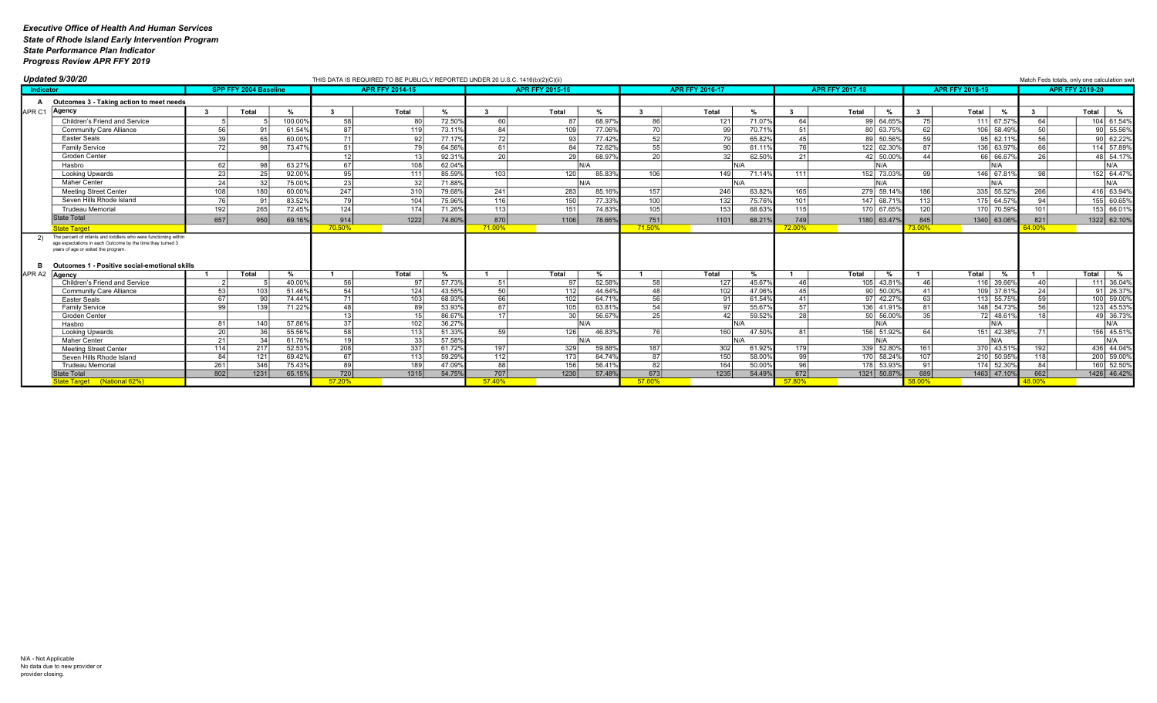| <b>APR FFY 2014-15</b><br><b>APR FFY 2015-16</b><br><b>APR FFY 2016-17</b><br><b>SPP FFY 2004 Baseline</b><br><b>APR FFY 2017-18</b><br><b>APR FFY 2018-19</b><br><b>APR FFY 2019-20</b><br>Indicator<br>Outcomes 3 - Taking action to meet needs<br>Agency<br>Total<br>Total<br>Total<br>$\%$<br>Total<br>Total<br>Total<br>Total<br>$\mathbf{3}$<br>%<br>$\frac{9}{6}$<br>%<br>80<br>72.50%<br>60<br>68.97<br>71.079<br>99 64.659<br>Children's Friend and Service<br>100.00%<br>58<br>86<br>121<br>75<br>111 67.57%<br>104 61.549<br>87<br>64<br>64<br>90 55.569<br><b>Community Care Alliance</b><br>87<br>73.119<br>84<br>109<br>77.069<br>70 l<br>70.71%<br>80 63.75<br>621<br>106 58.49%<br>61.54%<br>119<br>72<br>52<br>56<br>60.00%<br>71 I<br>77.17%<br>77.429<br>65.82%<br>89 50.569<br>59 <sup>1</sup><br>95 62.11%<br>90 62.229<br>39 <sup>1</sup><br>65<br>93<br>45<br><b>Easter Seals</b><br>92<br>79<br>114 57.899<br>72.629<br>55<br>122 62.30%<br>136 63.97%<br><b>Family Service</b><br>73.47%<br>64.56%<br>61<br><b>76</b><br>66<br><b>721</b><br>51<br>61.119<br>87 I<br>84<br>. QN<br><b>20</b><br>29<br>68.979<br>20 <sup>1</sup><br>42 50.009<br>66 66.67%<br>48 54.17<br>12 <sup>1</sup><br>92.31%<br>62.50%<br>21<br>Groden Center<br>-32<br>$\Lambda$<br>63.27%<br>67 I<br>62.04%<br>IN/A<br>Hasbro<br>62<br>98<br>108<br>N/A<br>N/A<br>IN/A<br>N/A<br>85.59%<br>120 <sup>1</sup><br>146 67.81%<br>23 <sup>1</sup><br>25<br>92.00%<br>95<br>103<br>85.839<br>106<br>149<br>152 73.039<br>99<br>98<br>152 64.479<br><b>111</b><br>71.14%<br>111<br><b>Looking Upwards</b><br><b>Maher Center</b><br>23<br>N/A<br>24<br>75.00%<br>71.88%<br>N/A<br>J/Δ<br>N/A<br>247<br>310<br>283<br>157<br>246<br>279 59.149<br>186<br>335 55.52%<br>266<br>Meeting Street Center<br>108<br>180<br>60.00%<br>79.68%<br>241<br>85.169<br>63.82%<br>165<br>416 63.949<br>79 I<br>104<br>75.96%<br>116<br>150 <sup>1</sup><br>77.339<br>100 <sup>1</sup><br>132<br>75.76%<br>147 68.719<br>94<br>155 60.659<br>Seven Hills Rhode Island<br>76<br>83.52%<br>101<br>113<br>175 64.57%<br>91<br>265<br>71.26%<br>105<br>120 <sup>1</sup><br>170 70.59%<br>153 66.019<br>192<br>72.45%<br>124<br>174<br>113<br>74.839<br>68.63%<br>170 67.65%<br>101<br>151<br>153<br><b>Trudeau Memorial</b><br>115<br><b>State Total</b><br>657<br>870<br>751<br>845<br>821<br>950<br>69.16%<br>914<br>74.80%<br>68.219<br>1180 63.479<br>1340 63.06%<br>1322 62.109<br>1222<br>1106<br>78.669<br>1101<br>749<br>71.00%<br>71.50%<br>70.50%<br>64.00%<br>72.00%<br>$73.00\%$<br><b>State Target</b><br>The percent of infants and toddlers who were functioning within<br>age expectations in each Outcome by the time they turned 3<br>years of age or exited the program.<br>Outcomes 1 - Positive social-emotional skills<br>Total<br>Total<br>Total<br>Total<br>Total<br>Total<br>Total<br>%<br>$\frac{9}{6}$<br>%<br>%<br>Agency<br>$\frac{9}{6}$<br>57.73%<br>52.589<br>58<br>105 43.819<br>116 39.66%<br>40.00%<br>56<br>97<br>51<br>97<br>127<br>45.67%<br>46<br>40<br>111 36.049<br>Children's Friend and Service<br>46<br>50<br>102<br>54 l<br>124<br>43.55%<br>48<br>47.06%<br>$90$ 50.00<br>109 37.61%<br>$91$ 26.37<br>103<br>51.46%<br>112<br>44.649<br>45<br>24<br>41<br><b>Community Care Alliance</b><br>100 59.009<br>56<br>68.93%<br>102<br>103<br>66<br>97 42.279<br>113 55.75%<br>74.44 <sup>°</sup><br>64.71<br>61.54%<br>91<br>63<br>Easter Seals<br>67<br>54<br>71.22%<br>105<br>148 54.73<br>123 45.539<br>53.93%<br>67<br>63.81<br>55.67<br>136 41.919<br>139<br>99<br>48 I<br>Family Service<br>49 36.739<br>56.67<br>25<br>50 56.009<br>86.679<br>30<br>59.52<br>28<br>72 48.619<br>Groden Center<br>13 <sup>1</sup><br>17 <sup>1</sup><br>35 I<br>$\Delta$<br>57.86%<br>-37 l<br>102<br>36.27%<br>N/A<br>N/A<br>Hasbro<br>81<br>140<br>NI/A<br>IN/A<br>55.56%<br>58<br>51.33%<br>151 42.38%<br>156 45.519<br>126<br>46.83<br>47.50%<br>156 51.92%<br>201<br>113<br>59 <sub>1</sub><br>76 I<br>160<br>64  <br>Looking Upwards<br>57.58%<br>61.76%<br>19 <sup>1</sup><br>N/A<br>N/A<br>Maher Center<br>IN/A<br>21<br>N/A<br>208<br>61.72%<br>59.88<br>436 44.049<br>52.53%<br>197<br>329<br>187<br>61.92%<br>339 52.809<br>370 43.51%<br>217<br>337<br>302<br>114<br>161<br>192<br>Meeting Street Center<br>179<br>58.00%<br>59.29%<br>170 58.249<br>107<br>210 50.95%<br>200 59.00<br>69.42%<br>67 I<br>112<br>173<br>64.74 <sup>°</sup><br>87<br>150<br>118<br>84<br>121<br>Seven Hills Rhode Island<br>113<br>99<br>47.09%<br>82<br>50.00%<br>261<br>346<br>89<br>88<br>56.419<br>178 53.939<br>174 52.30%<br>84<br>160 52.509<br>75.43%<br>189<br>156<br>164<br>96<br>91<br><b>Trudeau Memorial</b><br>802<br>720<br>707<br>662<br>54.75%<br>1230<br>673<br>1235<br>54.49%<br>672<br>689<br>1463 47.10%<br>1426 46.429<br>1231<br>65.15%<br>1315<br>57.489<br>1321 50.879<br><b>State Total</b><br>57.20%<br>57.40%<br>57.60%<br>State Target (National 62%)<br>57.80%<br>48.00% |                   | Updated 9/30/20 |  |  | THIS DATA IS REQUIRED TO BE PUBLICLY REPORTED UNDER 20 U.S.C. 1416(b)(2)(C)(ii) |  |  |  |  |  | Match Feds totals, only one calculation swi |   |
|-------------------------------------------------------------------------------------------------------------------------------------------------------------------------------------------------------------------------------------------------------------------------------------------------------------------------------------------------------------------------------------------------------------------------------------------------------------------------------------------------------------------------------------------------------------------------------------------------------------------------------------------------------------------------------------------------------------------------------------------------------------------------------------------------------------------------------------------------------------------------------------------------------------------------------------------------------------------------------------------------------------------------------------------------------------------------------------------------------------------------------------------------------------------------------------------------------------------------------------------------------------------------------------------------------------------------------------------------------------------------------------------------------------------------------------------------------------------------------------------------------------------------------------------------------------------------------------------------------------------------------------------------------------------------------------------------------------------------------------------------------------------------------------------------------------------------------------------------------------------------------------------------------------------------------------------------------------------------------------------------------------------------------------------------------------------------------------------------------------------------------------------------------------------------------------------------------------------------------------------------------------------------------------------------------------------------------------------------------------------------------------------------------------------------------------------------------------------------------------------------------------------------------------------------------------------------------------------------------------------------------------------------------------------------------------------------------------------------------------------------------------------------------------------------------------------------------------------------------------------------------------------------------------------------------------------------------------------------------------------------------------------------------------------------------------------------------------------------------------------------------------------------------------------------------------------------------------------------------------------------------------------------------------------------------------------------------------------------------------------------------------------------------------------------------------------------------------------------------------------------------------------------------------------------------------------------------------------------------------------------------------------------------------------------------------------------------------------------------------------------------------------------------------------------------------------------------------------------------------------------------------------------------------------------------------------------------------------------------------------------------------------------------------------------------------------------------------------------------------------------------------------------------------------------------------------------------------------------------------------------------------------------------------------------------------------------------------------------------------------------------------------------------------------------------------------------------------------------------------------------------------------------------------------------------------------------------------------------------------------------------------------------------------------------------------------------------------------------------------------------------------------------------------------------------------------------------------------------------------------------------------------------------------------------------------------------------------------------------------------------------|-------------------|-----------------|--|--|---------------------------------------------------------------------------------|--|--|--|--|--|---------------------------------------------|---|
|                                                                                                                                                                                                                                                                                                                                                                                                                                                                                                                                                                                                                                                                                                                                                                                                                                                                                                                                                                                                                                                                                                                                                                                                                                                                                                                                                                                                                                                                                                                                                                                                                                                                                                                                                                                                                                                                                                                                                                                                                                                                                                                                                                                                                                                                                                                                                                                                                                                                                                                                                                                                                                                                                                                                                                                                                                                                                                                                                                                                                                                                                                                                                                                                                                                                                                                                                                                                                                                                                                                                                                                                                                                                                                                                                                                                                                                                                                                                                                                                                                                                                                                                                                                                                                                                                                                                                                                                                                                                                                                                                                                                                                                                                                                                                                                                                                                                                                                                                                                                       |                   |                 |  |  |                                                                                 |  |  |  |  |  |                                             |   |
|                                                                                                                                                                                                                                                                                                                                                                                                                                                                                                                                                                                                                                                                                                                                                                                                                                                                                                                                                                                                                                                                                                                                                                                                                                                                                                                                                                                                                                                                                                                                                                                                                                                                                                                                                                                                                                                                                                                                                                                                                                                                                                                                                                                                                                                                                                                                                                                                                                                                                                                                                                                                                                                                                                                                                                                                                                                                                                                                                                                                                                                                                                                                                                                                                                                                                                                                                                                                                                                                                                                                                                                                                                                                                                                                                                                                                                                                                                                                                                                                                                                                                                                                                                                                                                                                                                                                                                                                                                                                                                                                                                                                                                                                                                                                                                                                                                                                                                                                                                                                       |                   |                 |  |  |                                                                                 |  |  |  |  |  |                                             |   |
|                                                                                                                                                                                                                                                                                                                                                                                                                                                                                                                                                                                                                                                                                                                                                                                                                                                                                                                                                                                                                                                                                                                                                                                                                                                                                                                                                                                                                                                                                                                                                                                                                                                                                                                                                                                                                                                                                                                                                                                                                                                                                                                                                                                                                                                                                                                                                                                                                                                                                                                                                                                                                                                                                                                                                                                                                                                                                                                                                                                                                                                                                                                                                                                                                                                                                                                                                                                                                                                                                                                                                                                                                                                                                                                                                                                                                                                                                                                                                                                                                                                                                                                                                                                                                                                                                                                                                                                                                                                                                                                                                                                                                                                                                                                                                                                                                                                                                                                                                                                                       | APR <sub>C1</sub> |                 |  |  |                                                                                 |  |  |  |  |  |                                             | % |
|                                                                                                                                                                                                                                                                                                                                                                                                                                                                                                                                                                                                                                                                                                                                                                                                                                                                                                                                                                                                                                                                                                                                                                                                                                                                                                                                                                                                                                                                                                                                                                                                                                                                                                                                                                                                                                                                                                                                                                                                                                                                                                                                                                                                                                                                                                                                                                                                                                                                                                                                                                                                                                                                                                                                                                                                                                                                                                                                                                                                                                                                                                                                                                                                                                                                                                                                                                                                                                                                                                                                                                                                                                                                                                                                                                                                                                                                                                                                                                                                                                                                                                                                                                                                                                                                                                                                                                                                                                                                                                                                                                                                                                                                                                                                                                                                                                                                                                                                                                                                       |                   |                 |  |  |                                                                                 |  |  |  |  |  |                                             |   |
|                                                                                                                                                                                                                                                                                                                                                                                                                                                                                                                                                                                                                                                                                                                                                                                                                                                                                                                                                                                                                                                                                                                                                                                                                                                                                                                                                                                                                                                                                                                                                                                                                                                                                                                                                                                                                                                                                                                                                                                                                                                                                                                                                                                                                                                                                                                                                                                                                                                                                                                                                                                                                                                                                                                                                                                                                                                                                                                                                                                                                                                                                                                                                                                                                                                                                                                                                                                                                                                                                                                                                                                                                                                                                                                                                                                                                                                                                                                                                                                                                                                                                                                                                                                                                                                                                                                                                                                                                                                                                                                                                                                                                                                                                                                                                                                                                                                                                                                                                                                                       |                   |                 |  |  |                                                                                 |  |  |  |  |  |                                             |   |
|                                                                                                                                                                                                                                                                                                                                                                                                                                                                                                                                                                                                                                                                                                                                                                                                                                                                                                                                                                                                                                                                                                                                                                                                                                                                                                                                                                                                                                                                                                                                                                                                                                                                                                                                                                                                                                                                                                                                                                                                                                                                                                                                                                                                                                                                                                                                                                                                                                                                                                                                                                                                                                                                                                                                                                                                                                                                                                                                                                                                                                                                                                                                                                                                                                                                                                                                                                                                                                                                                                                                                                                                                                                                                                                                                                                                                                                                                                                                                                                                                                                                                                                                                                                                                                                                                                                                                                                                                                                                                                                                                                                                                                                                                                                                                                                                                                                                                                                                                                                                       |                   |                 |  |  |                                                                                 |  |  |  |  |  |                                             |   |
|                                                                                                                                                                                                                                                                                                                                                                                                                                                                                                                                                                                                                                                                                                                                                                                                                                                                                                                                                                                                                                                                                                                                                                                                                                                                                                                                                                                                                                                                                                                                                                                                                                                                                                                                                                                                                                                                                                                                                                                                                                                                                                                                                                                                                                                                                                                                                                                                                                                                                                                                                                                                                                                                                                                                                                                                                                                                                                                                                                                                                                                                                                                                                                                                                                                                                                                                                                                                                                                                                                                                                                                                                                                                                                                                                                                                                                                                                                                                                                                                                                                                                                                                                                                                                                                                                                                                                                                                                                                                                                                                                                                                                                                                                                                                                                                                                                                                                                                                                                                                       |                   |                 |  |  |                                                                                 |  |  |  |  |  |                                             |   |
|                                                                                                                                                                                                                                                                                                                                                                                                                                                                                                                                                                                                                                                                                                                                                                                                                                                                                                                                                                                                                                                                                                                                                                                                                                                                                                                                                                                                                                                                                                                                                                                                                                                                                                                                                                                                                                                                                                                                                                                                                                                                                                                                                                                                                                                                                                                                                                                                                                                                                                                                                                                                                                                                                                                                                                                                                                                                                                                                                                                                                                                                                                                                                                                                                                                                                                                                                                                                                                                                                                                                                                                                                                                                                                                                                                                                                                                                                                                                                                                                                                                                                                                                                                                                                                                                                                                                                                                                                                                                                                                                                                                                                                                                                                                                                                                                                                                                                                                                                                                                       |                   |                 |  |  |                                                                                 |  |  |  |  |  |                                             |   |
|                                                                                                                                                                                                                                                                                                                                                                                                                                                                                                                                                                                                                                                                                                                                                                                                                                                                                                                                                                                                                                                                                                                                                                                                                                                                                                                                                                                                                                                                                                                                                                                                                                                                                                                                                                                                                                                                                                                                                                                                                                                                                                                                                                                                                                                                                                                                                                                                                                                                                                                                                                                                                                                                                                                                                                                                                                                                                                                                                                                                                                                                                                                                                                                                                                                                                                                                                                                                                                                                                                                                                                                                                                                                                                                                                                                                                                                                                                                                                                                                                                                                                                                                                                                                                                                                                                                                                                                                                                                                                                                                                                                                                                                                                                                                                                                                                                                                                                                                                                                                       |                   |                 |  |  |                                                                                 |  |  |  |  |  |                                             |   |
|                                                                                                                                                                                                                                                                                                                                                                                                                                                                                                                                                                                                                                                                                                                                                                                                                                                                                                                                                                                                                                                                                                                                                                                                                                                                                                                                                                                                                                                                                                                                                                                                                                                                                                                                                                                                                                                                                                                                                                                                                                                                                                                                                                                                                                                                                                                                                                                                                                                                                                                                                                                                                                                                                                                                                                                                                                                                                                                                                                                                                                                                                                                                                                                                                                                                                                                                                                                                                                                                                                                                                                                                                                                                                                                                                                                                                                                                                                                                                                                                                                                                                                                                                                                                                                                                                                                                                                                                                                                                                                                                                                                                                                                                                                                                                                                                                                                                                                                                                                                                       |                   |                 |  |  |                                                                                 |  |  |  |  |  |                                             |   |
|                                                                                                                                                                                                                                                                                                                                                                                                                                                                                                                                                                                                                                                                                                                                                                                                                                                                                                                                                                                                                                                                                                                                                                                                                                                                                                                                                                                                                                                                                                                                                                                                                                                                                                                                                                                                                                                                                                                                                                                                                                                                                                                                                                                                                                                                                                                                                                                                                                                                                                                                                                                                                                                                                                                                                                                                                                                                                                                                                                                                                                                                                                                                                                                                                                                                                                                                                                                                                                                                                                                                                                                                                                                                                                                                                                                                                                                                                                                                                                                                                                                                                                                                                                                                                                                                                                                                                                                                                                                                                                                                                                                                                                                                                                                                                                                                                                                                                                                                                                                                       |                   |                 |  |  |                                                                                 |  |  |  |  |  |                                             |   |
|                                                                                                                                                                                                                                                                                                                                                                                                                                                                                                                                                                                                                                                                                                                                                                                                                                                                                                                                                                                                                                                                                                                                                                                                                                                                                                                                                                                                                                                                                                                                                                                                                                                                                                                                                                                                                                                                                                                                                                                                                                                                                                                                                                                                                                                                                                                                                                                                                                                                                                                                                                                                                                                                                                                                                                                                                                                                                                                                                                                                                                                                                                                                                                                                                                                                                                                                                                                                                                                                                                                                                                                                                                                                                                                                                                                                                                                                                                                                                                                                                                                                                                                                                                                                                                                                                                                                                                                                                                                                                                                                                                                                                                                                                                                                                                                                                                                                                                                                                                                                       |                   |                 |  |  |                                                                                 |  |  |  |  |  |                                             |   |
|                                                                                                                                                                                                                                                                                                                                                                                                                                                                                                                                                                                                                                                                                                                                                                                                                                                                                                                                                                                                                                                                                                                                                                                                                                                                                                                                                                                                                                                                                                                                                                                                                                                                                                                                                                                                                                                                                                                                                                                                                                                                                                                                                                                                                                                                                                                                                                                                                                                                                                                                                                                                                                                                                                                                                                                                                                                                                                                                                                                                                                                                                                                                                                                                                                                                                                                                                                                                                                                                                                                                                                                                                                                                                                                                                                                                                                                                                                                                                                                                                                                                                                                                                                                                                                                                                                                                                                                                                                                                                                                                                                                                                                                                                                                                                                                                                                                                                                                                                                                                       |                   |                 |  |  |                                                                                 |  |  |  |  |  |                                             |   |
|                                                                                                                                                                                                                                                                                                                                                                                                                                                                                                                                                                                                                                                                                                                                                                                                                                                                                                                                                                                                                                                                                                                                                                                                                                                                                                                                                                                                                                                                                                                                                                                                                                                                                                                                                                                                                                                                                                                                                                                                                                                                                                                                                                                                                                                                                                                                                                                                                                                                                                                                                                                                                                                                                                                                                                                                                                                                                                                                                                                                                                                                                                                                                                                                                                                                                                                                                                                                                                                                                                                                                                                                                                                                                                                                                                                                                                                                                                                                                                                                                                                                                                                                                                                                                                                                                                                                                                                                                                                                                                                                                                                                                                                                                                                                                                                                                                                                                                                                                                                                       |                   |                 |  |  |                                                                                 |  |  |  |  |  |                                             |   |
|                                                                                                                                                                                                                                                                                                                                                                                                                                                                                                                                                                                                                                                                                                                                                                                                                                                                                                                                                                                                                                                                                                                                                                                                                                                                                                                                                                                                                                                                                                                                                                                                                                                                                                                                                                                                                                                                                                                                                                                                                                                                                                                                                                                                                                                                                                                                                                                                                                                                                                                                                                                                                                                                                                                                                                                                                                                                                                                                                                                                                                                                                                                                                                                                                                                                                                                                                                                                                                                                                                                                                                                                                                                                                                                                                                                                                                                                                                                                                                                                                                                                                                                                                                                                                                                                                                                                                                                                                                                                                                                                                                                                                                                                                                                                                                                                                                                                                                                                                                                                       |                   |                 |  |  |                                                                                 |  |  |  |  |  |                                             |   |
|                                                                                                                                                                                                                                                                                                                                                                                                                                                                                                                                                                                                                                                                                                                                                                                                                                                                                                                                                                                                                                                                                                                                                                                                                                                                                                                                                                                                                                                                                                                                                                                                                                                                                                                                                                                                                                                                                                                                                                                                                                                                                                                                                                                                                                                                                                                                                                                                                                                                                                                                                                                                                                                                                                                                                                                                                                                                                                                                                                                                                                                                                                                                                                                                                                                                                                                                                                                                                                                                                                                                                                                                                                                                                                                                                                                                                                                                                                                                                                                                                                                                                                                                                                                                                                                                                                                                                                                                                                                                                                                                                                                                                                                                                                                                                                                                                                                                                                                                                                                                       |                   |                 |  |  |                                                                                 |  |  |  |  |  |                                             |   |
|                                                                                                                                                                                                                                                                                                                                                                                                                                                                                                                                                                                                                                                                                                                                                                                                                                                                                                                                                                                                                                                                                                                                                                                                                                                                                                                                                                                                                                                                                                                                                                                                                                                                                                                                                                                                                                                                                                                                                                                                                                                                                                                                                                                                                                                                                                                                                                                                                                                                                                                                                                                                                                                                                                                                                                                                                                                                                                                                                                                                                                                                                                                                                                                                                                                                                                                                                                                                                                                                                                                                                                                                                                                                                                                                                                                                                                                                                                                                                                                                                                                                                                                                                                                                                                                                                                                                                                                                                                                                                                                                                                                                                                                                                                                                                                                                                                                                                                                                                                                                       |                   |                 |  |  |                                                                                 |  |  |  |  |  |                                             |   |
|                                                                                                                                                                                                                                                                                                                                                                                                                                                                                                                                                                                                                                                                                                                                                                                                                                                                                                                                                                                                                                                                                                                                                                                                                                                                                                                                                                                                                                                                                                                                                                                                                                                                                                                                                                                                                                                                                                                                                                                                                                                                                                                                                                                                                                                                                                                                                                                                                                                                                                                                                                                                                                                                                                                                                                                                                                                                                                                                                                                                                                                                                                                                                                                                                                                                                                                                                                                                                                                                                                                                                                                                                                                                                                                                                                                                                                                                                                                                                                                                                                                                                                                                                                                                                                                                                                                                                                                                                                                                                                                                                                                                                                                                                                                                                                                                                                                                                                                                                                                                       | APR A2            |                 |  |  |                                                                                 |  |  |  |  |  |                                             | % |
|                                                                                                                                                                                                                                                                                                                                                                                                                                                                                                                                                                                                                                                                                                                                                                                                                                                                                                                                                                                                                                                                                                                                                                                                                                                                                                                                                                                                                                                                                                                                                                                                                                                                                                                                                                                                                                                                                                                                                                                                                                                                                                                                                                                                                                                                                                                                                                                                                                                                                                                                                                                                                                                                                                                                                                                                                                                                                                                                                                                                                                                                                                                                                                                                                                                                                                                                                                                                                                                                                                                                                                                                                                                                                                                                                                                                                                                                                                                                                                                                                                                                                                                                                                                                                                                                                                                                                                                                                                                                                                                                                                                                                                                                                                                                                                                                                                                                                                                                                                                                       |                   |                 |  |  |                                                                                 |  |  |  |  |  |                                             |   |
|                                                                                                                                                                                                                                                                                                                                                                                                                                                                                                                                                                                                                                                                                                                                                                                                                                                                                                                                                                                                                                                                                                                                                                                                                                                                                                                                                                                                                                                                                                                                                                                                                                                                                                                                                                                                                                                                                                                                                                                                                                                                                                                                                                                                                                                                                                                                                                                                                                                                                                                                                                                                                                                                                                                                                                                                                                                                                                                                                                                                                                                                                                                                                                                                                                                                                                                                                                                                                                                                                                                                                                                                                                                                                                                                                                                                                                                                                                                                                                                                                                                                                                                                                                                                                                                                                                                                                                                                                                                                                                                                                                                                                                                                                                                                                                                                                                                                                                                                                                                                       |                   |                 |  |  |                                                                                 |  |  |  |  |  |                                             |   |
|                                                                                                                                                                                                                                                                                                                                                                                                                                                                                                                                                                                                                                                                                                                                                                                                                                                                                                                                                                                                                                                                                                                                                                                                                                                                                                                                                                                                                                                                                                                                                                                                                                                                                                                                                                                                                                                                                                                                                                                                                                                                                                                                                                                                                                                                                                                                                                                                                                                                                                                                                                                                                                                                                                                                                                                                                                                                                                                                                                                                                                                                                                                                                                                                                                                                                                                                                                                                                                                                                                                                                                                                                                                                                                                                                                                                                                                                                                                                                                                                                                                                                                                                                                                                                                                                                                                                                                                                                                                                                                                                                                                                                                                                                                                                                                                                                                                                                                                                                                                                       |                   |                 |  |  |                                                                                 |  |  |  |  |  |                                             |   |
|                                                                                                                                                                                                                                                                                                                                                                                                                                                                                                                                                                                                                                                                                                                                                                                                                                                                                                                                                                                                                                                                                                                                                                                                                                                                                                                                                                                                                                                                                                                                                                                                                                                                                                                                                                                                                                                                                                                                                                                                                                                                                                                                                                                                                                                                                                                                                                                                                                                                                                                                                                                                                                                                                                                                                                                                                                                                                                                                                                                                                                                                                                                                                                                                                                                                                                                                                                                                                                                                                                                                                                                                                                                                                                                                                                                                                                                                                                                                                                                                                                                                                                                                                                                                                                                                                                                                                                                                                                                                                                                                                                                                                                                                                                                                                                                                                                                                                                                                                                                                       |                   |                 |  |  |                                                                                 |  |  |  |  |  |                                             |   |
|                                                                                                                                                                                                                                                                                                                                                                                                                                                                                                                                                                                                                                                                                                                                                                                                                                                                                                                                                                                                                                                                                                                                                                                                                                                                                                                                                                                                                                                                                                                                                                                                                                                                                                                                                                                                                                                                                                                                                                                                                                                                                                                                                                                                                                                                                                                                                                                                                                                                                                                                                                                                                                                                                                                                                                                                                                                                                                                                                                                                                                                                                                                                                                                                                                                                                                                                                                                                                                                                                                                                                                                                                                                                                                                                                                                                                                                                                                                                                                                                                                                                                                                                                                                                                                                                                                                                                                                                                                                                                                                                                                                                                                                                                                                                                                                                                                                                                                                                                                                                       |                   |                 |  |  |                                                                                 |  |  |  |  |  |                                             |   |
|                                                                                                                                                                                                                                                                                                                                                                                                                                                                                                                                                                                                                                                                                                                                                                                                                                                                                                                                                                                                                                                                                                                                                                                                                                                                                                                                                                                                                                                                                                                                                                                                                                                                                                                                                                                                                                                                                                                                                                                                                                                                                                                                                                                                                                                                                                                                                                                                                                                                                                                                                                                                                                                                                                                                                                                                                                                                                                                                                                                                                                                                                                                                                                                                                                                                                                                                                                                                                                                                                                                                                                                                                                                                                                                                                                                                                                                                                                                                                                                                                                                                                                                                                                                                                                                                                                                                                                                                                                                                                                                                                                                                                                                                                                                                                                                                                                                                                                                                                                                                       |                   |                 |  |  |                                                                                 |  |  |  |  |  |                                             |   |
|                                                                                                                                                                                                                                                                                                                                                                                                                                                                                                                                                                                                                                                                                                                                                                                                                                                                                                                                                                                                                                                                                                                                                                                                                                                                                                                                                                                                                                                                                                                                                                                                                                                                                                                                                                                                                                                                                                                                                                                                                                                                                                                                                                                                                                                                                                                                                                                                                                                                                                                                                                                                                                                                                                                                                                                                                                                                                                                                                                                                                                                                                                                                                                                                                                                                                                                                                                                                                                                                                                                                                                                                                                                                                                                                                                                                                                                                                                                                                                                                                                                                                                                                                                                                                                                                                                                                                                                                                                                                                                                                                                                                                                                                                                                                                                                                                                                                                                                                                                                                       |                   |                 |  |  |                                                                                 |  |  |  |  |  |                                             |   |
|                                                                                                                                                                                                                                                                                                                                                                                                                                                                                                                                                                                                                                                                                                                                                                                                                                                                                                                                                                                                                                                                                                                                                                                                                                                                                                                                                                                                                                                                                                                                                                                                                                                                                                                                                                                                                                                                                                                                                                                                                                                                                                                                                                                                                                                                                                                                                                                                                                                                                                                                                                                                                                                                                                                                                                                                                                                                                                                                                                                                                                                                                                                                                                                                                                                                                                                                                                                                                                                                                                                                                                                                                                                                                                                                                                                                                                                                                                                                                                                                                                                                                                                                                                                                                                                                                                                                                                                                                                                                                                                                                                                                                                                                                                                                                                                                                                                                                                                                                                                                       |                   |                 |  |  |                                                                                 |  |  |  |  |  |                                             |   |
|                                                                                                                                                                                                                                                                                                                                                                                                                                                                                                                                                                                                                                                                                                                                                                                                                                                                                                                                                                                                                                                                                                                                                                                                                                                                                                                                                                                                                                                                                                                                                                                                                                                                                                                                                                                                                                                                                                                                                                                                                                                                                                                                                                                                                                                                                                                                                                                                                                                                                                                                                                                                                                                                                                                                                                                                                                                                                                                                                                                                                                                                                                                                                                                                                                                                                                                                                                                                                                                                                                                                                                                                                                                                                                                                                                                                                                                                                                                                                                                                                                                                                                                                                                                                                                                                                                                                                                                                                                                                                                                                                                                                                                                                                                                                                                                                                                                                                                                                                                                                       |                   |                 |  |  |                                                                                 |  |  |  |  |  |                                             |   |
|                                                                                                                                                                                                                                                                                                                                                                                                                                                                                                                                                                                                                                                                                                                                                                                                                                                                                                                                                                                                                                                                                                                                                                                                                                                                                                                                                                                                                                                                                                                                                                                                                                                                                                                                                                                                                                                                                                                                                                                                                                                                                                                                                                                                                                                                                                                                                                                                                                                                                                                                                                                                                                                                                                                                                                                                                                                                                                                                                                                                                                                                                                                                                                                                                                                                                                                                                                                                                                                                                                                                                                                                                                                                                                                                                                                                                                                                                                                                                                                                                                                                                                                                                                                                                                                                                                                                                                                                                                                                                                                                                                                                                                                                                                                                                                                                                                                                                                                                                                                                       |                   |                 |  |  |                                                                                 |  |  |  |  |  |                                             |   |
|                                                                                                                                                                                                                                                                                                                                                                                                                                                                                                                                                                                                                                                                                                                                                                                                                                                                                                                                                                                                                                                                                                                                                                                                                                                                                                                                                                                                                                                                                                                                                                                                                                                                                                                                                                                                                                                                                                                                                                                                                                                                                                                                                                                                                                                                                                                                                                                                                                                                                                                                                                                                                                                                                                                                                                                                                                                                                                                                                                                                                                                                                                                                                                                                                                                                                                                                                                                                                                                                                                                                                                                                                                                                                                                                                                                                                                                                                                                                                                                                                                                                                                                                                                                                                                                                                                                                                                                                                                                                                                                                                                                                                                                                                                                                                                                                                                                                                                                                                                                                       |                   |                 |  |  |                                                                                 |  |  |  |  |  |                                             |   |
|                                                                                                                                                                                                                                                                                                                                                                                                                                                                                                                                                                                                                                                                                                                                                                                                                                                                                                                                                                                                                                                                                                                                                                                                                                                                                                                                                                                                                                                                                                                                                                                                                                                                                                                                                                                                                                                                                                                                                                                                                                                                                                                                                                                                                                                                                                                                                                                                                                                                                                                                                                                                                                                                                                                                                                                                                                                                                                                                                                                                                                                                                                                                                                                                                                                                                                                                                                                                                                                                                                                                                                                                                                                                                                                                                                                                                                                                                                                                                                                                                                                                                                                                                                                                                                                                                                                                                                                                                                                                                                                                                                                                                                                                                                                                                                                                                                                                                                                                                                                                       |                   |                 |  |  |                                                                                 |  |  |  |  |  |                                             |   |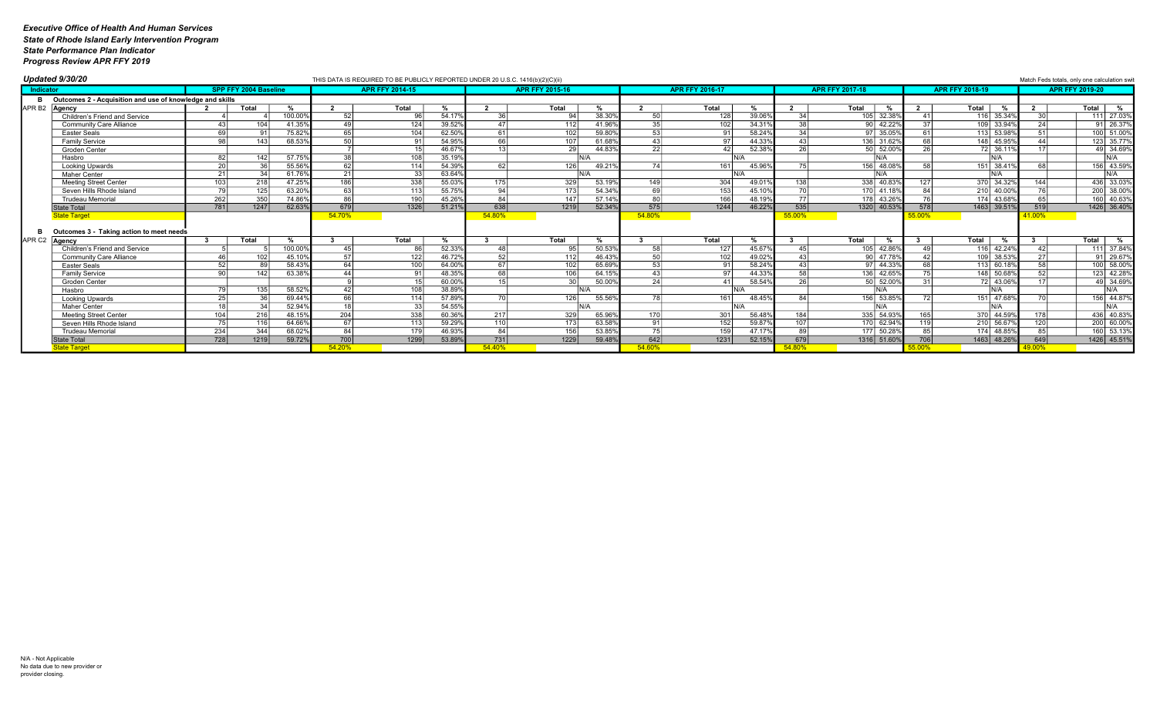|           | Updated 9/30/20                                          |     |                              |         |        | THIS DATA IS REQUIRED TO BE PUBLICLY REPORTED UNDER 20 U.S.C. 1416(b)(2)(C)(ii) |        |                 |                                    |                 |                        |        |                         |                        |                  |                        |                | Match Feds totals, only one calculation swi |
|-----------|----------------------------------------------------------|-----|------------------------------|---------|--------|---------------------------------------------------------------------------------|--------|-----------------|------------------------------------|-----------------|------------------------|--------|-------------------------|------------------------|------------------|------------------------|----------------|---------------------------------------------|
| Indicator |                                                          |     | <b>SPP FFY 2004 Baseline</b> |         |        | <b>APR FFY 2014-15</b>                                                          |        |                 | <b>APR FFY 2015-16</b>             |                 | <b>APR FFY 2016-17</b> |        |                         | <b>APR FFY 2017-18</b> |                  | <b>APR FFY 2018-19</b> |                | <b>APR FFY 2019-20</b>                      |
|           | Outcomes 2 - Acquisition and use of knowledge and skills |     |                              |         |        |                                                                                 |        |                 |                                    |                 |                        |        |                         |                        |                  |                        |                |                                             |
|           | APR B2 Agency                                            |     | Total                        |         |        | Total                                                                           |        |                 | Total                              |                 | Total                  |        | $\overline{\mathbf{2}}$ | Total<br>%             | $\mathbf{2}$     | Total                  | $\overline{2}$ | Total<br>%                                  |
|           | Children's Friend and Service                            |     |                              | 100.00% | 52     | 96                                                                              | 54.179 | 36              | $38.30^{\circ}$<br>94              | 50              | 128                    | 39.069 | 31                      | 105 32.38%             | 41 I             | 116 35.34%             | 3UI            | 111 27.039                                  |
|           | Community Care Alliance                                  |     | 104                          | 41.35%  | 49     | 124                                                                             | 39.52% | 47 l            | 112<br>41.96                       | 35              | 102                    | 34.319 | $\Omega$                | 90 42.22%              | 37 <sup>1</sup>  | 109 33.94%             | 24             | 91 26.379                                   |
|           | <b>Easter Seals</b>                                      |     | 911                          | 75.82%  | 65     | 104                                                                             | 62.50% | -61 l           | 102<br>59.80                       | 53              | Q1                     | 58.249 |                         | 97 35.05%              | 61               | 113 53.98%             | 51             | 100 51.009                                  |
|           | <b>Family Service</b>                                    |     | 143                          | 68.539  |        | Q1                                                                              | 54.95% | -66             | 107<br>61.68                       |                 |                        | 44.339 |                         | 136 31.629             | 68               | 148 45.95              |                | 123 35.77                                   |
|           | Groden Center                                            |     |                              |         |        |                                                                                 | 46.67% |                 | 29<br>44.83                        | 22              |                        | 52.38% |                         | 50 52.009              | ንድ               | 72 36.11               |                | 49 34.699                                   |
|           | Hasbro                                                   | 82  | 142                          | 57.75%  | 38     | 108                                                                             | 35.19% |                 | N/A                                |                 | N/A                    |        |                         | N/A                    |                  | N/A                    |                | N/A                                         |
|           | <b>Looking Upwards</b>                                   | 20  |                              | 55.56%  | 62     | 114                                                                             | 54.39% | 62              | 126<br>49.21                       | 74              | 161                    | 45.96  |                         | 156 48.08              | 581              | 151 38.41              |                | 156 43.599                                  |
|           | <b>Maher Center</b>                                      |     | 34                           | 61.76%  | 21     | 33                                                                              | 63.64% |                 | IN/A                               |                 | N/A                    |        |                         | N/A                    |                  | N/A                    |                | N/A                                         |
|           | <b>Meeting Street Center</b>                             |     | 218                          | 47.25%  | 186    | 338                                                                             | 55.03% | 175             | 329<br>53.19                       | 149             | 304                    | 49.01% |                         | 338 40.83              |                  | 370 34.32%             | 144            | 436 33.039                                  |
|           | Seven Hills Rhode Island                                 |     | 125                          | 63.20%  | 63     | 113                                                                             | 55.75% | 94              | 54.349<br>173                      | 69              | 153                    | 45.10% |                         | 170 41.189             | 84               | 210 40.00%             | 7C             | 200 38.009                                  |
|           | <b>Trudeau Memorial</b>                                  | 262 | 350                          | 74.86%  | 86     | 190                                                                             | 45.26% | 84 <sup>1</sup> | 57.14%<br>147                      | 80              | 166                    | 48.19% | 77                      | 178 43.269             | 76               | 174 43.68%             | 65             | 160 40.63%                                  |
|           | <b>State Total</b>                                       | 781 | 1247                         | 62.63%  | 679    | 1326                                                                            | 51.21% | 638             | $\boxed{1219}$<br>52.34%           | 575             | 1244                   | 46.229 | 535                     | 1320 40.53%            | 578              | 1463 39.51%            | 519            | 1426 36.40%                                 |
|           | <b>State Target</b>                                      |     |                              |         | 54.70% |                                                                                 |        | 54.80%          |                                    | 54.80%          |                        |        | 55.00%                  |                        | 55.00%           |                        | 41.00%         |                                             |
|           | Outcomes 3 - Taking action to meet needs                 |     |                              |         |        |                                                                                 |        |                 |                                    |                 |                        |        |                         |                        |                  |                        |                |                                             |
|           | APR C2 Agency                                            |     | Total                        |         |        | Total                                                                           |        |                 | Total<br>%                         |                 | Total                  | %      |                         | Total<br>%             |                  | Total                  | -3             | Total  <br>%                                |
|           | Children's Friend and Service                            |     |                              | 100.00% | 45     | 86                                                                              | 52.33% | 48              | 50.53%<br>95                       | 58              | 127                    | 45.67% |                         | 105 42.86%             | 49               | 116 42.24%             |                | 111 37.849                                  |
|           | <b>Community Care Alliance</b>                           |     | 102                          | 45.10%  | 57     | 122                                                                             | 46.72% | 52              | 112<br>46.43%                      | $\overline{50}$ | 102                    | 49.02% |                         | 90 47.78               | 42               | 109 38.539             | 27             | $91$ 29.67                                  |
|           | <b>Easter Seals</b>                                      |     | 89                           | 58.43   |        | 100                                                                             | 64.00% |                 | 102<br>65.69                       |                 | Q1                     | 58.249 |                         | 97 44.33               | 68               | 113 60.18%             |                | 100 58.009                                  |
|           | <b>Family Service</b>                                    |     | 142                          | 63.38%  |        | Q1                                                                              | 48.35% | 68              | 106<br>64.15                       |                 | Q <sub>7</sub>         | 44.33% |                         | 136 42.659             |                  | 148 50.68%             |                | 123 42.289                                  |
|           | Groden Center                                            |     |                              |         |        |                                                                                 | 60.00% |                 | 30 <sup>1</sup><br>$50.00^{\circ}$ | 24              |                        | 58.54% | $\Omega$                | 50 52.009              | 31 <sup>1</sup>  | 72 43.06               |                | 49 34.699                                   |
|           | Hasbro                                                   |     | 135                          | 58.52%  |        | 108                                                                             | 38.89% |                 | IN/A                               |                 | $N/\Delta$             |        |                         | N/A                    |                  | N/A                    |                | IN/A                                        |
|           | <b>Looking Upwards</b>                                   |     | $\overline{36}$              | 69.44%  | 66     | 114                                                                             | 57.89% |                 | 126<br>55.56                       |                 | 161                    | 48.45  |                         | 156 53.859             |                  | 151 47.68%             |                | 156 44.87                                   |
|           | Maher Center                                             |     |                              | 52.94%  |        | 33                                                                              | 54.55% |                 |                                    |                 |                        |        |                         | \J/A                   |                  | N/A                    |                | N/A                                         |
|           | <b>Meeting Street Center</b>                             | 104 | 216                          | 48.15%  | 204    | 338                                                                             | 60.36% | 217             | 329<br>65.96%                      | 170             | 301                    | 56.48% | 184                     | 335 54.93%             | 165              | 370 44.59%             | <b>178</b>     | 436 40.839                                  |
|           | Seven Hills Rhode Island                                 |     | 116                          | 64.66%  | 67     | 113                                                                             | 59.29% | 110             | 173<br>63.58%                      | Q <sub>1</sub>  | 152                    | 59.879 | 107                     | 170 62.94%             | 119 <sup>1</sup> | 210 56.67%             | 120            | 200 60.00%                                  |
|           | <b>Trudeau Memorial</b>                                  | 234 | 344                          | 68.02%  | 84     | 179                                                                             | 46.93% | -84 l           | 156<br>53.85%                      | $\overline{75}$ | 159                    | 47.17% |                         | 177 50.28%             | 85               | 174 48.859             | 85             | 160 53.139                                  |
|           | <b>State Total</b>                                       | 728 | 1219                         | 59.72%  | 700    | 1299                                                                            | 53.89% | 731             | 1229<br>59.48%                     | 642             | $\boxed{1231}$         | 52.15% | 679                     | 1316 51.60%            | 706              | 1463 48.26%            | 649            | 1426 45.519                                 |
|           | State Target                                             |     |                              |         | 54.20% |                                                                                 |        | 54.40%          |                                    | 54.60%          |                        |        | 54 80                   |                        |                  |                        | <u>49.00%</u>  |                                             |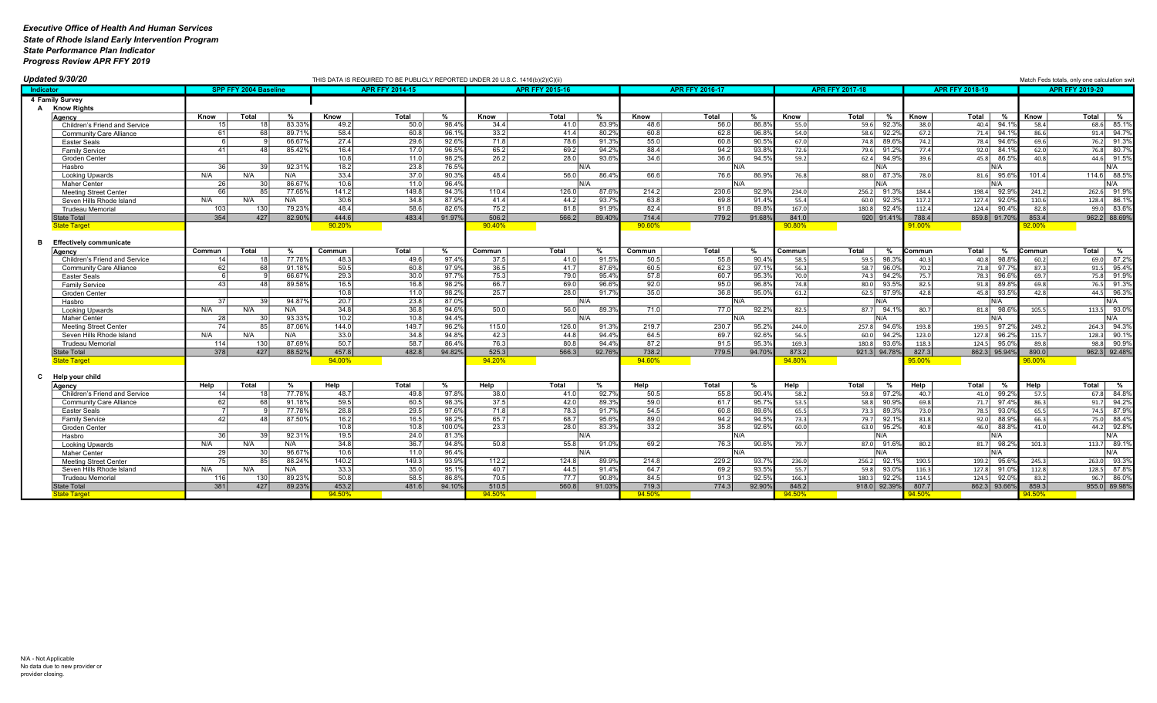| Updated 9/30/20                |                  |                              |        |                 | THIS DATA IS REQUIRED TO BE PUBLICLY REPORTED UNDER 20 U.S.C. 1416(b)(2)(C)(ii) |        |                 |                        |        |                 |                        |                |                 |                         |            |                         |                       | Match Feds totals, only one calculation swit |
|--------------------------------|------------------|------------------------------|--------|-----------------|---------------------------------------------------------------------------------|--------|-----------------|------------------------|--------|-----------------|------------------------|----------------|-----------------|-------------------------|------------|-------------------------|-----------------------|----------------------------------------------|
| Indicator                      |                  | <b>SPP FFY 2004 Baseline</b> |        |                 | <b>APR FFY 2014-15</b>                                                          |        |                 | <b>APR FFY 2015-16</b> |        |                 | <b>APR FFY 2016-17</b> |                |                 | <b>APR FFY 2017-18</b>  |            | <b>APR FFY 2018-19</b>  |                       | <b>APR FFY 2019-20</b>                       |
| 4 Family Survey                |                  |                              |        |                 |                                                                                 |        |                 |                        |        |                 |                        |                |                 |                         |            |                         |                       |                                              |
| A Know Rights                  |                  |                              |        |                 |                                                                                 |        |                 |                        |        |                 |                        |                |                 |                         |            |                         |                       |                                              |
| Agency                         | Know             | Total                        |        | Know            | Total                                                                           | %      | Know            | Total                  | %      | Know            | Total                  | %              | Know            | Total<br>%              | Know       | Total<br>%              | Know                  | Total  <br>%                                 |
| Children's Friend and Service  |                  |                              | 83.339 | 49.2            | 50.0                                                                            | 98.4%  | 34.4            | 41.0                   | 83.99  | 48.6            | 56.0                   | 86.89          | 55.0            | 92.3%<br>59.6           | 38.0       | 94.1%<br>40.4           | 58.4                  | 85.1%<br>68.6                                |
| <b>Community Care Alliance</b> | 61               | 68                           | 89.71% | 58.4            | 60.8                                                                            | 96.19  | 33.2            | 41.4                   | 80.29  | 60.8            | 62.8                   | 96.89          | 54.0            | 92.2%<br>58.6           | 67.2       | 71.4<br>94.1%           | 86.6                  | $91.4$ 94.79                                 |
| Easter Seals                   |                  |                              | 66.679 | 27.4            | 29.6                                                                            | 92.6%  | 71.8            | 78.6                   | 91.39  | 55.0            | 60.8                   | 90.59          | 67.0            | 89.69<br>74.8           | 74.2       | 78.4<br>94.6%           | 69.6                  | 91.3 <sup>o</sup><br>76.2                    |
| <b>Family Service</b>          | 41               | $\Delta$                     | 85.42% | 16.4            | 17.0                                                                            | 96.5%  | 65.2            | 69.2                   | 94.29  | 88.4            | 94.2                   | 93.89          | 72.6            | 79.6 91.29              | 77.4       | 92.0<br>84.19           | 62.0                  | 76.8 80.79                                   |
| Groden Center                  |                  |                              |        | 10.8            | 11.0                                                                            | 98.2%  | 26.2            | 28.0                   | 93.69  | 34.6            | 36.6                   | $94.5^{\circ}$ | 59.2            | 94.99<br>62.4           | 39.6       | 45.8<br>86.59           | 40.8                  | $44.6$ 91.5                                  |
| Hasbro                         | - 361            | 3C                           | 92.319 | 18.2            | 23.8                                                                            | 76.5%  |                 |                        | N/A    |                 |                        | NΙ/Δ           |                 | IN/A                    |            | N/A                     |                       | N/A                                          |
| Looking Upwards                | N/A              | N/A                          | N/A    | 33.4            | 37.0                                                                            | 90.3%  | 48.4            | 56.0                   | 86.49  | 66.6            | 76.6                   | 86.99          | 76.8            | $87.3^{\circ}$<br>88.0  | 78.0       | 81.6 95.6               | 101.4                 | 114.6 88.5                                   |
| <b>Maher Center</b>            | 26               | 30                           | 86.67  | 10.6            | 11.0                                                                            | 96.4%  |                 |                        | IN/A   |                 |                        | N/A            |                 | IN/A                    |            | N/A                     |                       | N/A                                          |
| <b>Meeting Street Center</b>   | БF               | R!                           | 77.65% | 141.2           | 149.8                                                                           | 94.3%  | 110.4           | 126.0                  | 87.6%  | 214.2           | 230.6                  | 92.9%          | 234.0           | 91.39<br>256.2          | 184.4      | 198.4<br>92.9%          | 241.2                 | 262.6 91.99                                  |
| Seven Hills Rhode Island       | N/A              | N/A                          | N/A    | 30.6            | 34.8                                                                            | 87.9%  | 41.4            | 44.2                   | 93.7   | 63.8            | 69.8                   | 91.49          | 55.4            | 60.0<br>$92.3^{\circ}$  | 117.2      | 127.4<br>$92.0^{\circ}$ | 110.6                 | 128.4 86.1                                   |
| <b>Trudeau Memorial</b>        | 103              | 130                          | 79.23% | 48.4            | 58.6                                                                            | 82.69  | 75.2            | 81.8                   | 91.99  | 82.4            | 91.8                   | 89.89          | 167.0           | 92.4%<br>180.8          | 112.4      | 124.4<br>90.49          | 82.8                  | $99.0$ 83.6                                  |
| State Total                    | 354              | 427                          | 82.90% | 444.6           | 483.4                                                                           | 91.97% | 506.2           | 566.2                  | 89.409 | 714.4           | 779.2                  | 91.68%         | 841.0           | 920 91.419              | 788.4      | 859.8 91.70%            | 853.4                 | 962.2 88.699                                 |
| <b>State Target</b>            |                  |                              |        | 90.20%          |                                                                                 |        | 90.40%          |                        |        | 90.60%          |                        |                | 90.80%          |                         | 91.00%     |                         | 92.00%                |                                              |
|                                |                  |                              |        |                 |                                                                                 |        |                 |                        |        |                 |                        |                |                 |                         |            |                         |                       |                                              |
| <b>Effectively communicate</b> |                  |                              |        |                 |                                                                                 |        |                 |                        |        |                 |                        |                |                 |                         |            |                         |                       |                                              |
| Agency                         | Commun           | Total                        |        | Commun          | Total                                                                           | %      | Commun          | Total                  | %      | Commun          | Total                  | %              | Commun          | Total<br>%              | Commun     | Total<br>%              | Commun                | Total  <br>%                                 |
| Children's Friend and Service  | 14 <sup>1</sup>  |                              | 77.78% | 48.3            | 49.6                                                                            | 97.4%  | 37.5            | 41.0                   | 91.5%  | 50.5            | 55.8                   | 90.4%          | 58.5            | 98.39<br>59.5           | 40.3       | 98.8%<br>40.8           | 60.2                  | 69.0 87.29                                   |
| <b>Community Care Alliance</b> | 62               | 68                           | 91.18% | 59.5            | 60.8                                                                            | 97.9%  | 36.5            | 41.7                   | 87.6%  | 60.5            | 62.3                   | 97.1'          | 56.3            | 96.09<br>58.7           | 70.2       | 71.8<br>97.7%           | 87.3                  | 91.5<br>95.49                                |
| Easter Seals                   |                  |                              | 66.67% | 29.3            | 30.0                                                                            | 97.79  | 75.3            | 79.0                   | 95.4%  | 57.8            | 60.7                   | 95.39          | 70.0            | 74.3<br>$94.2^{\circ}$  | 75.7       | 78.3<br>96.69           | 69.7                  | 75.8 91.99                                   |
| Family Service                 | 43               |                              | 89.58% | 16.5            | 16.8                                                                            | 98.2%  | 66.7            | 69.0                   | 96.69  | 92.0            | 95.0                   | 96.89          | 74.8            | 93.59<br>80.0           | 82.5       | 91.8<br>89.89           | 69.8                  | 76.5 91.39                                   |
| Groden Center                  |                  |                              |        | 10.8            | 11.0                                                                            | 98.2%  | 25.7            | 28.0                   | 91.79  | 35.0            | 36.8                   | 95.0%          | 61.2            | 62.5<br>97.9%           | 42.8       | 45.8 93.5%              | 42.8                  | 44.5<br>96.39                                |
| Hasbro                         | -37              | 39                           | 94.87  | 20.7            | 23.8                                                                            | 87.0%  |                 |                        | IN/A   |                 |                        | N/A            |                 | IN/A                    |            | N/A                     |                       | IN/A                                         |
| Looking Upwards                | N/A              | N/A                          | N/A    | 34.8            | 36.8                                                                            | 94.6%  | 50.0            | 56.0                   | 89.39  | 71.0            | 77.0                   | 92.2%          | 82.5            | 87.7 94.19              | 80.7       | 81.8 98.6%              | 105.5                 | 113.5 93.09                                  |
| <b>Maher Center</b>            | 28               | 30                           | 93.33% | 10.2            | 10.8                                                                            | 94.4%  |                 |                        | IN/A   |                 |                        | N/A            |                 | IN/A                    |            | N/A                     |                       | N/A                                          |
| <b>Meeting Street Center</b>   |                  | 8F                           | 87.06% | 144.0           | 149.7                                                                           | 96.2%  | 115.0           | 126.0                  | 91.39  | 219.7           | 230.7                  | 95.2%          | 244.0           | 94.6<br>257.8           | 193.8      | 199.5<br>97.2%          | 249.2                 | 264.3 94.39                                  |
| Seven Hills Rhode Island       | N/A              | N/A                          | N/A    | 33.0            | 34.8                                                                            | 94.8%  | 42.3            | 44.8                   | 94.4%  | 64.5            | 69.7                   | 92.6%          | 56.5            | $60.0$ 94.29            | 123.0      | 127.8<br>96.2%          | 115.7                 | $128.3$ 90.19                                |
| <b>Trudeau Memorial</b>        | 114              | 130                          | 87.69% | 50.7            | 58.7                                                                            | 86.4%  | 76.3            | 80.8                   | 94.49  | 87.2            | 91.5                   | 95.39          | 169.3           | 93.69<br>180.8          | 118.3      | 95.0%<br>124.5          | 89.8                  | 98.8 90.99                                   |
| <b>State Total</b>             | $\overline{378}$ | 427                          | 88.52% | 457.8           | 482.8                                                                           | 94.82% | 525.3           | 566.3                  | 92.76% | 738.2           | 779.5                  | 94.70%         | 873.2           | 921.3 94.78%            | 827.3      | 862.3 95.94%            | 890.0                 | 962.3 92.48                                  |
| <b>State Target</b>            |                  |                              |        | 94.00%          |                                                                                 |        | 94.20%          |                        |        | 94.60%          |                        |                | 94.80%          |                         | <b>00%</b> |                         | 96.00%                |                                              |
|                                |                  |                              |        |                 |                                                                                 |        |                 |                        |        |                 |                        |                |                 |                         |            |                         |                       |                                              |
| Help your child<br>C.          |                  |                              |        |                 |                                                                                 |        |                 |                        |        |                 |                        |                |                 |                         |            |                         |                       |                                              |
| Agency                         | Help             | Total                        | %      | Help            | Total                                                                           | %      | Help            | Total                  | %      | Help            | Total                  | %              | Help            | Total<br>%              | Help       | Total<br>%              | <b>Help</b>           | Total I<br>%                                 |
| Children's Friend and Service  |                  |                              | 77.78% | 48.7            | 49.8                                                                            | 97.8%  | 38.0            | 41.0                   | 92.79  | 50.5            | 55.8                   | 90.4%          | 58.2            | 97.2%<br>59.8           | 40.7       | 41.0<br>99.2%           | 57.5                  | 67.8 84.89                                   |
| <b>Community Care Alliance</b> | 62               | 68                           | 91.18% | 59.5            | 60.5                                                                            | 98.3%  | 37.5            | 42.0                   | 89.39  | 59.0            | 61.7                   | 95.7           | 53.5            | 90.99<br>58.8           | 69.8       | 97.4%<br>71.7           | 86.3                  | 94.2%<br>91.7                                |
| <b>Easter Seals</b>            |                  |                              | 77.78% | 28.8            | 29.5                                                                            | 97.6%  | 71.8            | 78.3                   | 91.7   | 54.5            | 60.8                   | 89.6%          | 65.5            | 89.39<br>73.3           | 73.0       | 93.09<br>78.5           | 65.5                  | 74.5<br>87.99                                |
| <b>Family Service</b>          | 42               |                              | 87.50% | 16.2            | 16.5                                                                            | 98.2%  | 65.7            | 68.7                   | 95.6   | 89.0            | 94.2                   | 94.59          | 73.3            | 92.19<br>79.7           | 81.8       | 92.0<br>88.9            | 66.3                  | 75.0<br>88.4%                                |
| Groden Center                  |                  |                              |        | 10.8            | 10.8                                                                            | 100.0% | 23.3            | 28.0                   | 83.3   | 33.2            | 35.8                   | 92.6%          | 60.0            | 95.2%<br>63.0           | 40.8       | 46.0<br>88.8            | 41.0                  | 44.2<br>92.8%                                |
| Hasbro                         | 36               |                              | 92.319 | 19.5            | 24.0                                                                            | 81.3%  |                 |                        | IN/A   |                 |                        | N/A            |                 | IN/A                    |            | N/A                     |                       | N/A                                          |
| Looking Upwards                | N/A              | N/A                          | N/A    | 34.8            | 36.7                                                                            | 94.8%  | 50.8            | 55.8                   | 91.09  | 69.2            | 76.3                   | 90.6%          | 79.7            | $87.0$ $91.6$           | 80.2       | 81.7 98.2%              | 101.3                 | 113.7 89.1                                   |
| <b>Maher Center</b>            | 29               |                              | 96.67% | 10.6            | 11.0                                                                            | 96.4%  |                 |                        | N/A    |                 |                        | N/A            |                 | N/A                     |            | N/A                     |                       | N/A                                          |
| <b>Meeting Street Center</b>   |                  |                              | 88.24% | 140.2           | 149.3                                                                           | 93.9%  | 112.2           | 124.8                  | 89.99  | 214.8           | 229.2                  | 93.7'          | 236.0           | 92.1%<br>256.2          | 190.5      | 199.2<br>95.69          | 245.3                 | $263.0$ 93.39                                |
| Seven Hills Rhode Island       | N/A              | N/A                          | N/A    | 33.3            | 35.0<br>58.5                                                                    | 95.19  | 40.7            | 44.5                   | 91.4%  | 64.7            | 69.2<br>91.3           | 93.5%          | 55.7            | 93.09<br>59.8           | 116.3      | 127.8<br>91.0%          | 112.8                 | $87.8^{\circ}$<br>128.5                      |
| Trudeau Memoria                | 116              | 130                          | 89.239 | 50.8            |                                                                                 | 86.89  | 70.5            | 77.7                   | 90.89  | 84.5            | 774.3                  | 92.59          | 166.3           | $92.2^{\circ}$<br>180.3 | 114.5      | 124.5<br>92.0           | 83.2                  | 86.0<br>96.7                                 |
| <b>State Total</b>             | 381              | 427                          | 89.23% | 453.2<br>94.50% | 481.6                                                                           | 94.10% | 510.5<br>94.50% | 560.8                  | 91.039 | 719.3<br>94.50% |                        | 92.90%         | 848.2<br>94.50% | 918.0 92.399            | 807.7      | 862.3 93.66%            | 859.3<br><b>1450%</b> | 955.0 89.989                                 |
| <b>State Target</b>            |                  |                              |        |                 |                                                                                 |        |                 |                        |        |                 |                        |                |                 |                         |            |                         |                       |                                              |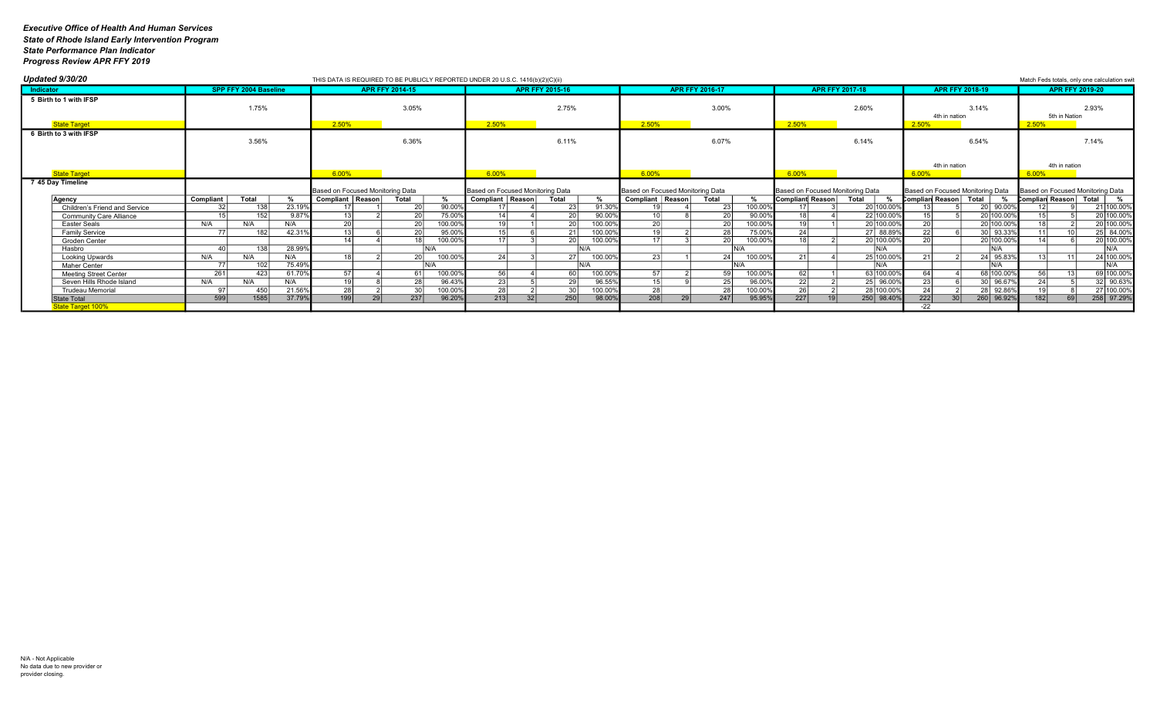| Updated 9/30/20                               |       |           |                              |               |                                  |                        |                 |         | THIS DATA IS REQUIRED TO BE PUBLICLY REPORTED UNDER 20 U.S.C. 1416(b)(2)(C)(ii) |                        |                 |                                  |                 |                        |         |                                  |                        |                    |                       |                        |                                  |                                  |                        | Match Feds totals, only one calculation swit |
|-----------------------------------------------|-------|-----------|------------------------------|---------------|----------------------------------|------------------------|-----------------|---------|---------------------------------------------------------------------------------|------------------------|-----------------|----------------------------------|-----------------|------------------------|---------|----------------------------------|------------------------|--------------------|-----------------------|------------------------|----------------------------------|----------------------------------|------------------------|----------------------------------------------|
| Indicator                                     |       |           | <b>SPP FFY 2004 Baseline</b> |               |                                  | <b>APR FFY 2014-15</b> |                 |         |                                                                                 | <b>APR FFY 2015-16</b> |                 |                                  |                 | <b>APR FFY 2016-17</b> |         |                                  | <b>APR FFY 2017-18</b> |                    |                       | <b>APR FFY 2018-19</b> |                                  |                                  | <b>APR FFY 2019-20</b> |                                              |
| 5 Birth to 1 with IFSP                        |       |           | 1.75%                        |               |                                  |                        | 3.05%           |         |                                                                                 |                        | 2.75%           |                                  |                 | 3.00%                  |         |                                  | 2.60%                  |                    |                       | 4th in nation          | 3.14%                            |                                  | 5th in Nation          | 2.93%                                        |
| <b>State Target</b>                           |       |           |                              |               | 2.50%                            |                        |                 |         | 2.50%                                                                           |                        |                 | 2.50%                            |                 |                        |         | 2.50%                            |                        |                    | 2.50%                 |                        |                                  | 2.50%                            |                        |                                              |
| 6 Birth to 3 with IFSP                        | 3.56% |           |                              |               |                                  | 6.36%                  |                 |         |                                                                                 | 6.11%                  |                 |                                  | 6.07%           |                        |         | 6.14%                            |                        |                    |                       | 6.54%                  |                                  |                                  | 7.14%                  |                                              |
| <b>State Target</b>                           |       |           |                              |               | $6.00\%$                         |                        |                 |         | 6.00%                                                                           |                        |                 | 6.00%                            |                 |                        |         | 6.00%                            |                        |                    | 6.00%                 | 4th in nation          |                                  | 6.00%                            | 4th in nation          |                                              |
| 7 45 Day Timeline                             |       |           |                              |               | Based on Focused Monitoring Data |                        |                 |         | Based on Focused Monitoring Data                                                |                        |                 | Based on Focused Monitoring Data |                 |                        |         | Based on Focused Monitoring Data |                        |                    |                       |                        | Based on Focused Monitoring Data | Based on Focused Monitoring Data |                        |                                              |
| Agency                                        |       | Compliant | Total                        |               | Compliant   Reason               |                        | Total           |         | Compliant   Reason                                                              | Total                  |                 | Compliant   Reason               |                 | Total                  |         | <b>Compliant Reason</b>          | Total                  |                    | Complian Reason Total |                        |                                  | Complian Reason Total            |                        |                                              |
| Children's Friend and Service                 |       |           | 138                          | 23.19%        |                                  |                        | 20 <sup>1</sup> | 90.00%  |                                                                                 |                        | 91.30%<br>23    |                                  |                 | 23                     | 100.00% |                                  |                        | 20 100.00%         |                       |                        | 20 90.00%                        |                                  |                        | 21 100.00%                                   |
| <b>Community Care Alliance</b>                |       |           | 152                          | 9.87%         |                                  |                        | 20              | 75.00%  | 11                                                                              |                        | 90.00%<br>20    |                                  |                 | 20                     | 90.00%  |                                  |                        | 22 100.00%         |                       |                        | 20 100.00%                       |                                  |                        | 20 100.00%                                   |
| <b>Easter Seals</b>                           |       | N/A       | N/A                          | N/A           | $\overline{20}$                  |                        | 20              | 100.00% |                                                                                 |                        | 100.00%<br>20   | 20                               |                 | 20                     | 100.00% |                                  |                        | 20 100.00%         | 20                    |                        | 20 100.00%                       |                                  |                        | 20 100.00%                                   |
| <b>Family Service</b>                         |       | 77        | 182                          | 42.31%        |                                  |                        | 20 <sup>1</sup> | 95.00%  | 15 <sub>1</sub>                                                                 |                        | 100.00%<br>21   | $\sim$                           |                 | 28                     | 75.00%  | 24                               |                        | 27 88.89%          | 22<br>$\overline{20}$ |                        | 30 93.33%                        |                                  |                        | 25 84.00%                                    |
| Groden Center                                 |       |           |                              |               |                                  |                        |                 | 100.00% |                                                                                 |                        | 100.00<br>20    |                                  |                 | 20 l                   | 100.00% |                                  |                        | 20 100.00%         |                       |                        | 20 100.00%                       |                                  |                        | 20 100.00%                                   |
| Hasbro                                        |       |           | 138                          | 28.99%        |                                  |                        |                 |         |                                                                                 |                        |                 |                                  |                 |                        |         |                                  |                        | IN/A               |                       |                        | N/A                              |                                  |                        | IN/A                                         |
| <b>Looking Upwards</b><br><b>Maher Center</b> |       | N/A       | N/A<br>102                   | N/A<br>75.49% |                                  |                        | ا 20            | 100.00% | 24                                                                              |                        | 100.00%<br>27 I | 23                               |                 | 24                     | 100.00% |                                  |                        | 25 100.00%<br>IN/A | 21 <sup>1</sup>       |                        | 24 95.83%<br>N/A                 |                                  |                        | 24 100.00%<br>N/A                            |
| <b>Meeting Street Center</b>                  |       | 261       | 423                          | 61.70%        | 57 <sup>1</sup>                  |                        | 611             | 100.00% | 56                                                                              |                        | 100.00%<br>60   | 57                               |                 | 59                     | 100.00% |                                  |                        | 63 100.00%         | 64 I                  |                        | 68 100.00%                       |                                  |                        | 69 100.00%                                   |
| Seven Hills Rhode Island                      |       | N/A       | N/A                          | N/A           | 19                               |                        |                 | 96.43%  | 23                                                                              |                        | 29<br>96.55%    | 4E                               |                 |                        | 96.00%  | 22                               |                        | 25 96.00%          | 23                    |                        | 30 96.67%                        | 24                               |                        | 32 90.63%                                    |
| Trudeau Memorial                              |       |           | 450                          | 21.56%        | 28                               |                        |                 | 100.00% | $\overline{28}$                                                                 |                        | 100.00%         | 28                               |                 |                        | 100.00% |                                  |                        | 28 100.00%         | 24                    |                        | 28 92.86%                        |                                  |                        | 27 100.00%                                   |
| State Total                                   |       | 599       | 1585                         | 37.79%        | 199                              | 29 <sub>1</sub>        | 237             | 96.20   | 213                                                                             |                        | 250<br>98.00%   | 208                              | 29 <sup>1</sup> | 247                    | 95.95%  | 227                              |                        | 250 98.40%         | 222                   | 30 <sup>1</sup>        | 260 96.92%                       | 182                              | 69                     | 258 97.29%                                   |
| State Target 100%                             |       |           |                              |               |                                  |                        |                 |         |                                                                                 |                        |                 |                                  |                 |                        |         |                                  |                        |                    | $-22$                 |                        |                                  |                                  |                        |                                              |